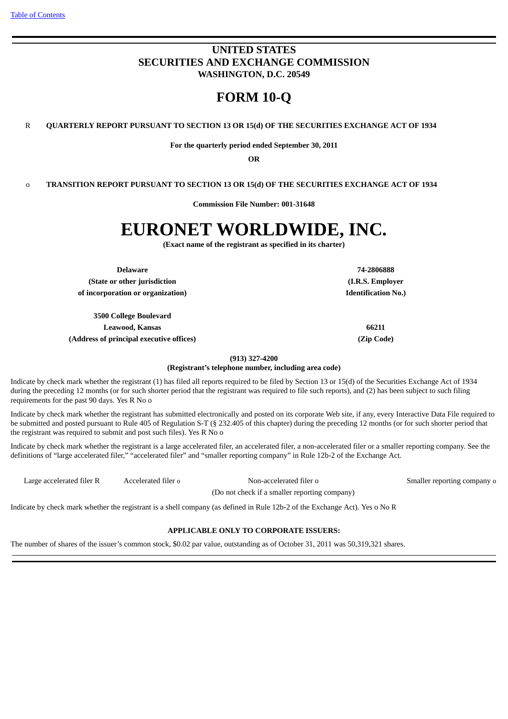## **UNITED STATES SECURITIES AND EXCHANGE COMMISSION WASHINGTON, D.C. 20549**

## **FORM 10-Q**

R **QUARTERLY REPORT PURSUANT TO SECTION 13 OR 15(d) OF THE SECURITIES EXCHANGE ACT OF 1934**

**For the quarterly period ended September 30, 2011**

**OR**

o **TRANSITION REPORT PURSUANT TO SECTION 13 OR 15(d) OF THE SECURITIES EXCHANGE ACT OF 1934**

**Commission File Number: 001-31648**

# **EURONET WORLDWIDE, INC.**

**(Exact name of the registrant as specified in its charter)**

**Delaware 74-2806888 (State or other jurisdiction (I.R.S. Employer of incorporation or organization) Identification No.)**

**3500 College Boulevard Leawood, Kansas 66211 (Address of principal executive offices) (Zip Code)**

**(913) 327-4200**

**(Registrant's telephone number, including area code)**

Indicate by check mark whether the registrant (1) has filed all reports required to be filed by Section 13 or 15(d) of the Securities Exchange Act of 1934 during the preceding 12 months (or for such shorter period that the registrant was required to file such reports), and (2) has been subject to such filing requirements for the past 90 days. Yes R No o

Indicate by check mark whether the registrant has submitted electronically and posted on its corporate Web site, if any, every Interactive Data File required to be submitted and posted pursuant to Rule 405 of Regulation S-T (§ 232.405 of this chapter) during the preceding 12 months (or for such shorter period that the registrant was required to submit and post such files). Yes R No o

Indicate by check mark whether the registrant is a large accelerated filer, an accelerated filer, a non-accelerated filer or a smaller reporting company. See the definitions of "large accelerated filer," "accelerated filer" and "smaller reporting company" in Rule 12b-2 of the Exchange Act.

Large accelerated filer R Accelerated filer o Non-accelerated filer o Smaller reporting company o

(Do not check if a smaller reporting company)

Indicate by check mark whether the registrant is a shell company (as defined in Rule 12b-2 of the Exchange Act). Yes o No R

## **APPLICABLE ONLY TO CORPORATE ISSUERS:**

<span id="page-0-0"></span>The number of shares of the issuer's common stock, \$0.02 par value, outstanding as of October 31, 2011 was 50,319,321 shares.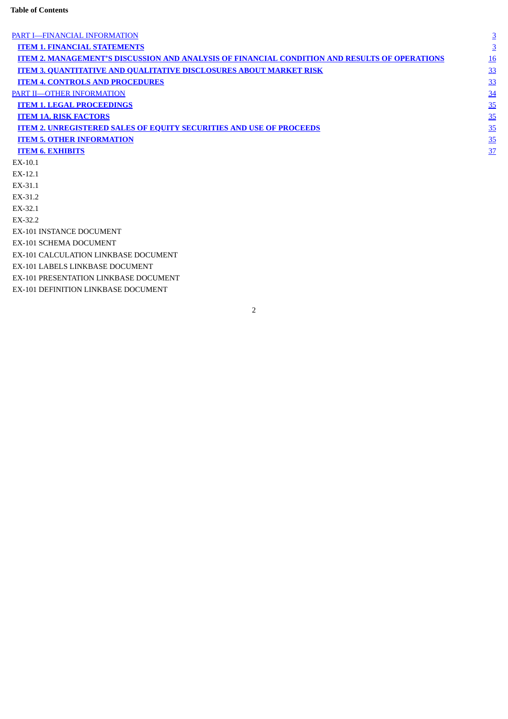**Table of Contents**

<span id="page-1-0"></span>

| PART I-FINANCIAL INFORMATION                                                                         | $\overline{3}$ |
|------------------------------------------------------------------------------------------------------|----------------|
| <b>ITEM 1. FINANCIAL STATEMENTS</b>                                                                  | $\overline{3}$ |
| <b>ITEM 2. MANAGEMENT'S DISCUSSION AND ANALYSIS OF FINANCIAL CONDITION AND RESULTS OF OPERATIONS</b> | <b>16</b>      |
| <b>ITEM 3. QUANTITATIVE AND QUALITATIVE DISCLOSURES ABOUT MARKET RISK</b>                            | 33             |
| <b>ITEM 4. CONTROLS AND PROCEDURES</b>                                                               | 33             |
| <b>PART II-OTHER INFORMATION</b>                                                                     | 34             |
| <b>ITEM 1. LEGAL PROCEEDINGS</b>                                                                     | 35             |
| <b>ITEM 1A. RISK FACTORS</b>                                                                         | 35             |
| <b>ITEM 2. UNREGISTERED SALES OF EQUITY SECURITIES AND USE OF PROCEEDS</b>                           | 35             |
| <b>ITEM 5. OTHER INFORMATION</b>                                                                     | 35             |
| <b>ITEM 6. EXHIBITS</b>                                                                              | 37             |
| $EX-10.1$                                                                                            |                |
| $EX-12.1$                                                                                            |                |
| EX-31.1                                                                                              |                |
| EX-31.2                                                                                              |                |
| EX-32.1                                                                                              |                |
| EX-32.2                                                                                              |                |
| <b>EX-101 INSTANCE DOCUMENT</b>                                                                      |                |
| <b>EX-101 SCHEMA DOCUMENT</b>                                                                        |                |
| <b>EX-101 CALCULATION LINKBASE DOCUMENT</b>                                                          |                |
| <b>EX-101 LABELS LINKBASE DOCUMENT</b>                                                               |                |
| <b>EX-101 PRESENTATION LINKBASE DOCUMENT</b>                                                         |                |
| <b>EX-101 DEFINITION LINKBASE DOCUMENT</b>                                                           |                |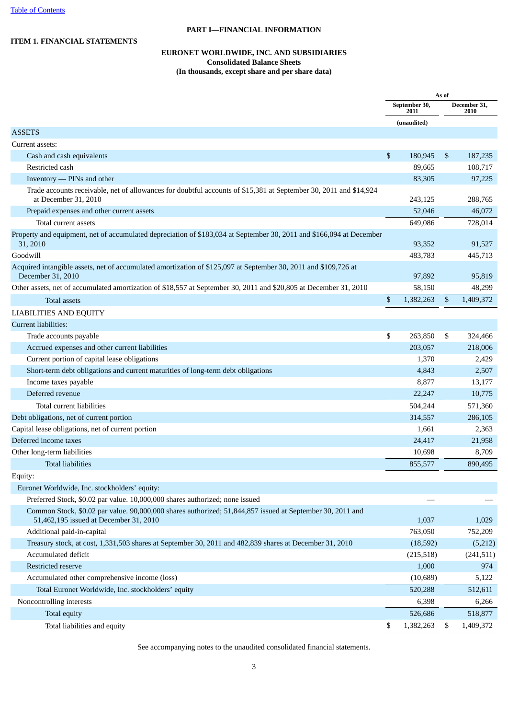## **PART I—FINANCIAL INFORMATION**

<span id="page-2-0"></span>**ITEM 1. FINANCIAL STATEMENTS**

## **EURONET WORLDWIDE, INC. AND SUBSIDIARIES Consolidated Balance Sheets (In thousands, except share and per share data)**

|                                                                                                                                                     | As of                 |    |                      |  |
|-----------------------------------------------------------------------------------------------------------------------------------------------------|-----------------------|----|----------------------|--|
|                                                                                                                                                     | September 30,<br>2011 |    | December 31,<br>2010 |  |
|                                                                                                                                                     | (unaudited)           |    |                      |  |
| <b>ASSETS</b>                                                                                                                                       |                       |    |                      |  |
| Current assets:                                                                                                                                     |                       |    |                      |  |
| Cash and cash equivalents                                                                                                                           | \$<br>180,945         | \$ | 187,235              |  |
| Restricted cash                                                                                                                                     | 89,665                |    | 108,717              |  |
| Inventory $-$ PINs and other                                                                                                                        | 83,305                |    | 97,225               |  |
| Trade accounts receivable, net of allowances for doubtful accounts of \$15,381 at September 30, 2011 and \$14,924<br>at December 31, 2010           | 243,125               |    | 288,765              |  |
| Prepaid expenses and other current assets                                                                                                           | 52,046                |    | 46,072               |  |
| Total current assets                                                                                                                                | 649,086               |    | 728,014              |  |
| Property and equipment, net of accumulated depreciation of \$183,034 at September 30, 2011 and \$166,094 at December<br>31, 2010                    | 93,352                |    | 91,527               |  |
| Goodwill                                                                                                                                            | 483,783               |    | 445,713              |  |
| Acquired intangible assets, net of accumulated amortization of \$125,097 at September 30, 2011 and \$109,726 at                                     |                       |    |                      |  |
| December 31, 2010                                                                                                                                   | 97,892                |    | 95,819               |  |
| Other assets, net of accumulated amortization of \$18,557 at September 30, 2011 and \$20,805 at December 31, 2010                                   | 58,150                |    | 48,299               |  |
| <b>Total assets</b>                                                                                                                                 | \$<br>1,382,263       | \$ | 1,409,372            |  |
| <b>LIABILITIES AND EQUITY</b>                                                                                                                       |                       |    |                      |  |
| <b>Current liabilities:</b>                                                                                                                         |                       |    |                      |  |
| Trade accounts payable                                                                                                                              | \$<br>263,850         | \$ | 324,466              |  |
| Accrued expenses and other current liabilities                                                                                                      | 203,057               |    | 218,006              |  |
| Current portion of capital lease obligations                                                                                                        | 1,370                 |    | 2,429                |  |
| Short-term debt obligations and current maturities of long-term debt obligations                                                                    | 4,843                 |    | 2,507                |  |
| Income taxes payable                                                                                                                                | 8,877                 |    | 13,177               |  |
| Deferred revenue                                                                                                                                    | 22,247                |    | 10,775               |  |
| Total current liabilities                                                                                                                           | 504,244               |    | 571,360              |  |
| Debt obligations, net of current portion                                                                                                            | 314,557               |    | 286,105              |  |
| Capital lease obligations, net of current portion                                                                                                   | 1,661                 |    | 2,363                |  |
| Deferred income taxes                                                                                                                               | 24,417                |    | 21,958               |  |
| Other long-term liabilities                                                                                                                         | 10,698                |    | 8,709                |  |
| <b>Total liabilities</b>                                                                                                                            | 855,577               |    | 890,495              |  |
| Equity:                                                                                                                                             |                       |    |                      |  |
| Euronet Worldwide, Inc. stockholders' equity:                                                                                                       |                       |    |                      |  |
| Preferred Stock, \$0.02 par value. 10,000,000 shares authorized; none issued                                                                        |                       |    |                      |  |
| Common Stock, \$0.02 par value. 90,000,000 shares authorized; 51,844,857 issued at September 30, 2011 and<br>51,462,195 issued at December 31, 2010 | 1,037                 |    | 1,029                |  |
| Additional paid-in-capital                                                                                                                          | 763,050               |    | 752,209              |  |
| Treasury stock, at cost, 1,331,503 shares at September 30, 2011 and 482,839 shares at December 31, 2010                                             | (18, 592)             |    | (5,212)              |  |
| Accumulated deficit                                                                                                                                 | (215, 518)            |    | (241, 511)           |  |
| Restricted reserve                                                                                                                                  | 1,000                 |    | 974                  |  |
| Accumulated other comprehensive income (loss)                                                                                                       | (10,689)              |    | 5,122                |  |
| Total Euronet Worldwide, Inc. stockholders' equity                                                                                                  | 520,288               |    | 512,611              |  |
| Noncontrolling interests                                                                                                                            | 6,398                 |    | 6,266                |  |
| Total equity                                                                                                                                        | 526,686               |    | 518,877              |  |
| Total liabilities and equity                                                                                                                        | \$<br>1,382,263       | \$ | 1,409,372            |  |

See accompanying notes to the unaudited consolidated financial statements.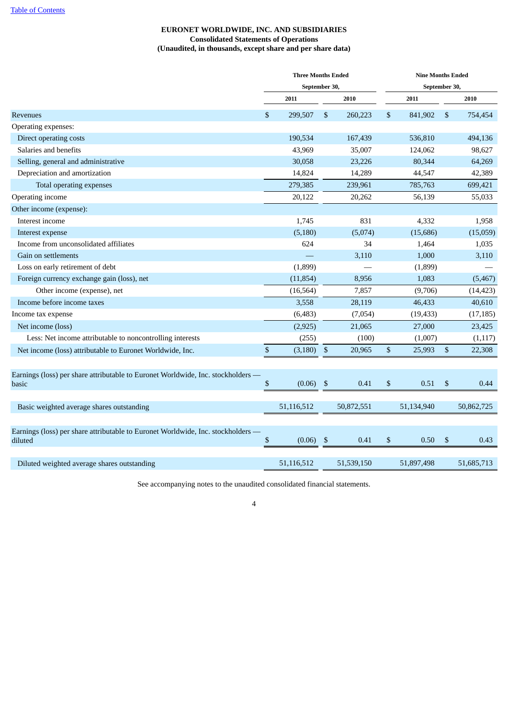## **EURONET WORLDWIDE, INC. AND SUBSIDIARIES Consolidated Statements of Operations (Unaudited, in thousands, except share and per share data)**

|                                                                                             | <b>Three Months Ended</b><br>September 30, |            |      |            |              |            | <b>Nine Months Ended</b><br>September 30, |            |  |  |
|---------------------------------------------------------------------------------------------|--------------------------------------------|------------|------|------------|--------------|------------|-------------------------------------------|------------|--|--|
|                                                                                             |                                            | 2011       |      | 2010       |              | 2011       |                                           | 2010       |  |  |
| Revenues                                                                                    |                                            | 299,507    | \$   | 260,223    | \$           | 841,902    | \$                                        | 754,454    |  |  |
| Operating expenses:                                                                         |                                            |            |      |            |              |            |                                           |            |  |  |
| Direct operating costs                                                                      |                                            | 190,534    |      | 167,439    |              | 536,810    |                                           | 494,136    |  |  |
| Salaries and benefits                                                                       |                                            | 43,969     |      | 35,007     |              | 124,062    |                                           | 98,627     |  |  |
| Selling, general and administrative                                                         |                                            | 30,058     |      | 23,226     |              | 80,344     |                                           | 64,269     |  |  |
| Depreciation and amortization                                                               |                                            | 14,824     |      | 14,289     |              | 44,547     |                                           | 42,389     |  |  |
| Total operating expenses                                                                    |                                            | 279,385    |      | 239,961    |              | 785,763    |                                           | 699,421    |  |  |
| Operating income                                                                            |                                            | 20,122     |      | 20,262     |              | 56,139     |                                           | 55,033     |  |  |
| Other income (expense):                                                                     |                                            |            |      |            |              |            |                                           |            |  |  |
| Interest income                                                                             |                                            | 1,745      |      | 831        |              | 4,332      |                                           | 1,958      |  |  |
| Interest expense                                                                            |                                            | (5, 180)   |      | (5,074)    |              | (15,686)   |                                           | (15,059)   |  |  |
| Income from unconsolidated affiliates                                                       |                                            | 624        |      | 34         |              | 1,464      |                                           | 1,035      |  |  |
| Gain on settlements                                                                         |                                            |            |      | 3,110      |              | 1,000      |                                           | 3,110      |  |  |
| Loss on early retirement of debt                                                            |                                            | (1,899)    |      |            |              | (1,899)    |                                           |            |  |  |
| Foreign currency exchange gain (loss), net                                                  |                                            | (11, 854)  |      | 8,956      |              | 1,083      |                                           | (5, 467)   |  |  |
| Other income (expense), net                                                                 |                                            | (16, 564)  |      | 7,857      |              | (9,706)    |                                           | (14, 423)  |  |  |
| Income before income taxes                                                                  |                                            | 3,558      |      | 28,119     |              | 46,433     |                                           | 40,610     |  |  |
| Income tax expense                                                                          |                                            | (6, 483)   |      | (7,054)    |              | (19, 433)  |                                           | (17, 185)  |  |  |
| Net income (loss)                                                                           |                                            | (2,925)    |      | 21,065     |              | 27,000     |                                           | 23,425     |  |  |
| Less: Net income attributable to noncontrolling interests                                   |                                            | (255)      |      | (100)      |              | (1,007)    |                                           | (1, 117)   |  |  |
| Net income (loss) attributable to Euronet Worldwide, Inc.                                   | \$                                         | (3,180)    | $\$$ | 20,965     | $\$$         | 25,993     | \$                                        | 22,308     |  |  |
|                                                                                             |                                            |            |      |            |              |            |                                           |            |  |  |
| Earnings (loss) per share attributable to Euronet Worldwide, Inc. stockholders -<br>basic   | \$                                         | (0.06)     | \$   | 0.41       | $\mathbb{S}$ | 0.51       | $\mathbb{S}$                              | 0.44       |  |  |
|                                                                                             |                                            |            |      |            |              |            |                                           |            |  |  |
| Basic weighted average shares outstanding                                                   |                                            | 51,116,512 |      | 50,872,551 |              | 51,134,940 |                                           | 50,862,725 |  |  |
| Earnings (loss) per share attributable to Euronet Worldwide, Inc. stockholders -<br>diluted | \$                                         | (0.06)     | \$   | 0.41       | \$           | 0.50       | \$                                        | 0.43       |  |  |
| Diluted weighted average shares outstanding                                                 |                                            | 51,116,512 |      | 51,539,150 |              | 51,897,498 |                                           | 51,685,713 |  |  |

See accompanying notes to the unaudited consolidated financial statements.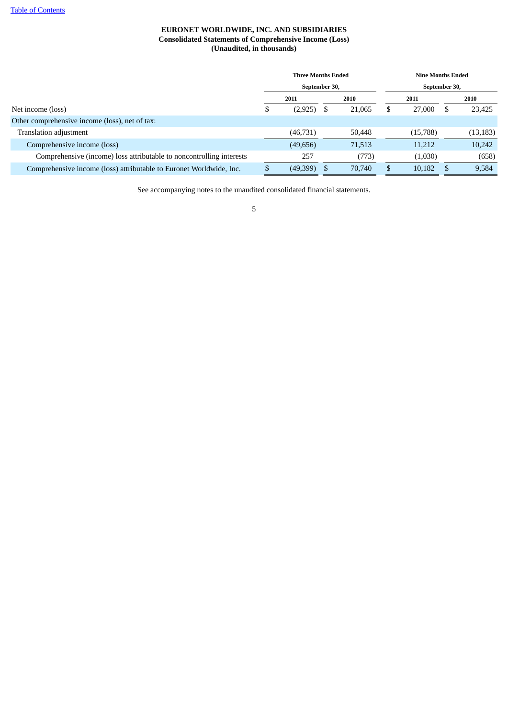## **EURONET WORLDWIDE, INC. AND SUBSIDIARIES Consolidated Statements of Comprehensive Income (Loss) (Unaudited, in thousands)**

|                                                                      |               | <b>Three Months Ended</b> |      |        | <b>Nine Months Ended</b> |               |      |           |  |  |  |  |
|----------------------------------------------------------------------|---------------|---------------------------|------|--------|--------------------------|---------------|------|-----------|--|--|--|--|
|                                                                      | September 30, |                           |      |        |                          | September 30, |      |           |  |  |  |  |
|                                                                      | 2011<br>2010  |                           |      | 2011   |                          |               | 2010 |           |  |  |  |  |
| Net income (loss)                                                    | ٠D            | (2,925)                   | - S  | 21,065 | S                        | 27,000        | S    | 23,425    |  |  |  |  |
| Other comprehensive income (loss), net of tax:                       |               |                           |      |        |                          |               |      |           |  |  |  |  |
| Translation adjustment                                               |               | (46,731)                  |      | 50,448 |                          | (15,788)      |      | (13, 183) |  |  |  |  |
| Comprehensive income (loss)                                          |               | (49, 656)                 |      | 71,513 |                          | 11,212        |      | 10,242    |  |  |  |  |
| Comprehensive (income) loss attributable to noncontrolling interests |               | 257                       |      | (773)  |                          | (1,030)       |      | (658)     |  |  |  |  |
| Comprehensive income (loss) attributable to Euronet Worldwide, Inc.  |               | (49,399)                  | - \$ | 70,740 |                          | 10,182        |      | 9,584     |  |  |  |  |

See accompanying notes to the unaudited consolidated financial statements.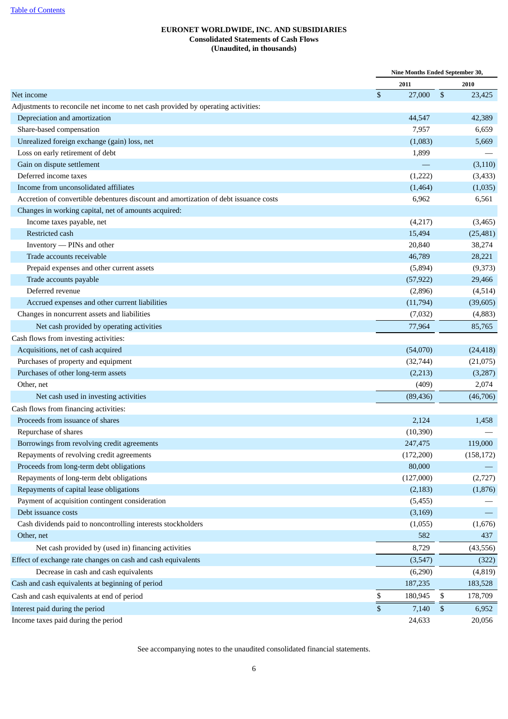## **EURONET WORLDWIDE, INC. AND SUBSIDIARIES Consolidated Statements of Cash Flows (Unaudited, in thousands)**

|                                                                                      |      | Nine Months Ended September 30, |                |            |
|--------------------------------------------------------------------------------------|------|---------------------------------|----------------|------------|
|                                                                                      |      | 2011                            |                | 2010       |
| Net income                                                                           | \$   | 27,000                          | $\mathfrak{s}$ | 23,425     |
| Adjustments to reconcile net income to net cash provided by operating activities:    |      |                                 |                |            |
| Depreciation and amortization                                                        |      | 44,547                          |                | 42,389     |
| Share-based compensation                                                             |      | 7,957                           |                | 6,659      |
| Unrealized foreign exchange (gain) loss, net                                         |      | (1,083)                         |                | 5,669      |
| Loss on early retirement of debt                                                     |      | 1,899                           |                |            |
| Gain on dispute settlement                                                           |      |                                 |                | (3, 110)   |
| Deferred income taxes                                                                |      | (1,222)                         |                | (3, 433)   |
| Income from unconsolidated affiliates                                                |      | (1,464)                         |                | (1,035)    |
| Accretion of convertible debentures discount and amortization of debt issuance costs |      | 6,962                           |                | 6,561      |
| Changes in working capital, net of amounts acquired:                                 |      |                                 |                |            |
| Income taxes payable, net                                                            |      | (4,217)                         |                | (3, 465)   |
| Restricted cash                                                                      |      | 15,494                          |                | (25, 481)  |
| Inventory — PINs and other                                                           |      | 20,840                          |                | 38,274     |
| Trade accounts receivable                                                            |      | 46,789                          |                | 28,221     |
| Prepaid expenses and other current assets                                            |      | (5,894)                         |                | (9,373)    |
| Trade accounts payable                                                               |      | (57, 922)                       |                | 29,466     |
| Deferred revenue                                                                     |      | (2,896)                         |                | (4,514)    |
| Accrued expenses and other current liabilities                                       |      | (11,794)                        |                | (39,605)   |
| Changes in noncurrent assets and liabilities                                         |      | (7,032)                         |                | (4,883)    |
| Net cash provided by operating activities                                            |      | 77,964                          |                | 85,765     |
| Cash flows from investing activities:                                                |      |                                 |                |            |
| Acquisitions, net of cash acquired                                                   |      | (54,070)                        |                | (24, 418)  |
| Purchases of property and equipment                                                  |      | (32, 744)                       |                | (21,075)   |
| Purchases of other long-term assets                                                  |      | (2,213)                         |                | (3,287)    |
| Other, net                                                                           |      | (409)                           |                | 2,074      |
| Net cash used in investing activities                                                |      | (89, 436)                       |                | (46,706)   |
| Cash flows from financing activities:                                                |      |                                 |                |            |
| Proceeds from issuance of shares                                                     |      | 2,124                           |                | 1,458      |
| Repurchase of shares                                                                 |      | (10, 390)                       |                |            |
| Borrowings from revolving credit agreements                                          |      | 247,475                         |                | 119,000    |
| Repayments of revolving credit agreements                                            |      | (172,200)                       |                | (158, 172) |
| Proceeds from long-term debt obligations                                             |      | 80,000                          |                |            |
| Repayments of long-term debt obligations                                             |      | (127,000)                       |                | (2,727)    |
| Repayments of capital lease obligations                                              |      | (2, 183)                        |                | (1,876)    |
| Payment of acquisition contingent consideration                                      |      | (5, 455)                        |                |            |
| Debt issuance costs                                                                  |      | (3, 169)                        |                |            |
| Cash dividends paid to noncontrolling interests stockholders                         |      | (1,055)                         |                | (1,676)    |
| Other, net                                                                           |      | 582                             |                | 437        |
| Net cash provided by (used in) financing activities                                  |      | 8,729                           |                | (43, 556)  |
| Effect of exchange rate changes on cash and cash equivalents                         |      | (3,547)                         |                | (322)      |
| Decrease in cash and cash equivalents                                                |      | (6,290)                         |                | (4,819)    |
| Cash and cash equivalents at beginning of period                                     |      | 187,235                         |                | 183,528    |
| Cash and cash equivalents at end of period                                           | \$   | 180,945                         | \$             | 178,709    |
| Interest paid during the period                                                      | $\$$ | 7,140                           | \$             | 6,952      |
| Income taxes paid during the period                                                  |      | 24,633                          |                | 20,056     |
|                                                                                      |      |                                 |                |            |

See accompanying notes to the unaudited consolidated financial statements.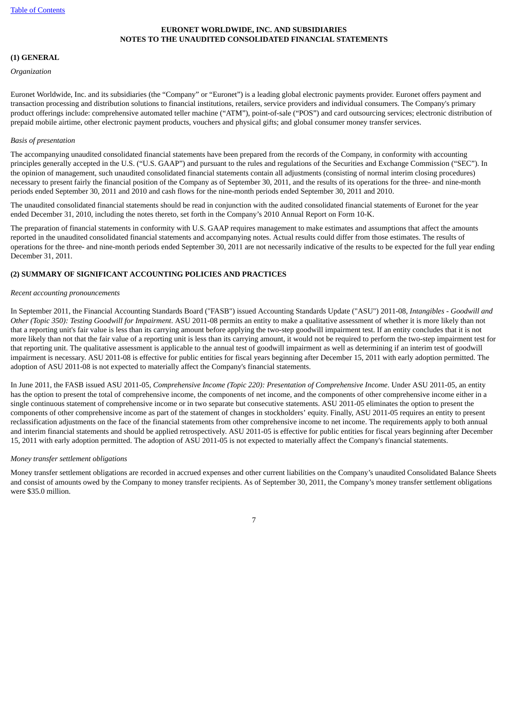#### **EURONET WORLDWIDE, INC. AND SUBSIDIARIES NOTES TO THE UNAUDITED CONSOLIDATED FINANCIAL STATEMENTS**

#### **(1) GENERAL**

*Organization*

Euronet Worldwide, Inc. and its subsidiaries (the "Company" or "Euronet") is a leading global electronic payments provider. Euronet offers payment and transaction processing and distribution solutions to financial institutions, retailers, service providers and individual consumers. The Company's primary product offerings include: comprehensive automated teller machine ("ATM"), point-of-sale ("POS") and card outsourcing services; electronic distribution of prepaid mobile airtime, other electronic payment products, vouchers and physical gifts; and global consumer money transfer services.

#### *Basis of presentation*

The accompanying unaudited consolidated financial statements have been prepared from the records of the Company, in conformity with accounting principles generally accepted in the U.S. ("U.S. GAAP") and pursuant to the rules and regulations of the Securities and Exchange Commission ("SEC"). In the opinion of management, such unaudited consolidated financial statements contain all adjustments (consisting of normal interim closing procedures) necessary to present fairly the financial position of the Company as of September 30, 2011, and the results of its operations for the three- and nine-month periods ended September 30, 2011 and 2010 and cash flows for the nine-month periods ended September 30, 2011 and 2010.

The unaudited consolidated financial statements should be read in conjunction with the audited consolidated financial statements of Euronet for the year ended December 31, 2010, including the notes thereto, set forth in the Company's 2010 Annual Report on Form 10-K.

The preparation of financial statements in conformity with U.S. GAAP requires management to make estimates and assumptions that affect the amounts reported in the unaudited consolidated financial statements and accompanying notes. Actual results could differ from those estimates. The results of operations for the three- and nine-month periods ended September 30, 2011 are not necessarily indicative of the results to be expected for the full year ending December 31, 2011.

#### **(2) SUMMARY OF SIGNIFICANT ACCOUNTING POLICIES AND PRACTICES**

#### *Recent accounting pronouncements*

In September 2011, the Financial Accounting Standards Board ("FASB") issued Accounting Standards Update ("ASU") 2011-08, *Intangibles - Goodwill and Other (Topic 350): Testing Goodwill for Impairment*. ASU 2011-08 permits an entity to make a qualitative assessment of whether it is more likely than not that a reporting unit's fair value is less than its carrying amount before applying the two-step goodwill impairment test. If an entity concludes that it is not more likely than not that the fair value of a reporting unit is less than its carrying amount, it would not be required to perform the two-step impairment test for that reporting unit. The qualitative assessment is applicable to the annual test of goodwill impairment as well as determining if an interim test of goodwill impairment is necessary. ASU 2011-08 is effective for public entities for fiscal years beginning after December 15, 2011 with early adoption permitted. The adoption of ASU 2011-08 is not expected to materially affect the Company's financial statements.

In June 2011, the FASB issued ASU 2011-05, *Comprehensive Income (Topic 220): Presentation of Comprehensive Income*. Under ASU 2011-05, an entity has the option to present the total of comprehensive income, the components of net income, and the components of other comprehensive income either in a single continuous statement of comprehensive income or in two separate but consecutive statements. ASU 2011-05 eliminates the option to present the components of other comprehensive income as part of the statement of changes in stockholders' equity. Finally, ASU 2011-05 requires an entity to present reclassification adjustments on the face of the financial statements from other comprehensive income to net income. The requirements apply to both annual and interim financial statements and should be applied retrospectively. ASU 2011-05 is effective for public entities for fiscal years beginning after December 15, 2011 with early adoption permitted. The adoption of ASU 2011-05 is not expected to materially affect the Company's financial statements.

#### *Money transfer settlement obligations*

Money transfer settlement obligations are recorded in accrued expenses and other current liabilities on the Company's unaudited Consolidated Balance Sheets and consist of amounts owed by the Company to money transfer recipients. As of September 30, 2011, the Company's money transfer settlement obligations were \$35.0 million.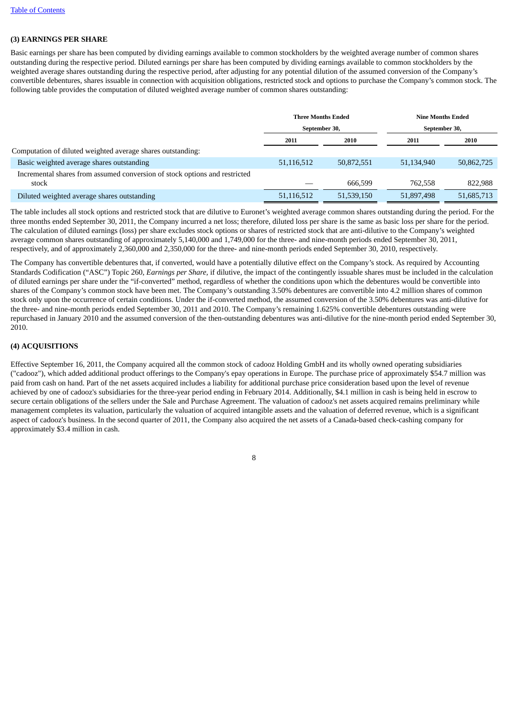## **(3) EARNINGS PER SHARE**

Basic earnings per share has been computed by dividing earnings available to common stockholders by the weighted average number of common shares outstanding during the respective period. Diluted earnings per share has been computed by dividing earnings available to common stockholders by the weighted average shares outstanding during the respective period, after adjusting for any potential dilution of the assumed conversion of the Company's convertible debentures, shares issuable in connection with acquisition obligations, restricted stock and options to purchase the Company's common stock. The following table provides the computation of diluted weighted average number of common shares outstanding:

|                                                                            | <b>Three Months Ended</b> |            | <b>Nine Months Ended</b> |            |
|----------------------------------------------------------------------------|---------------------------|------------|--------------------------|------------|
|                                                                            | September 30,             |            | September 30,            |            |
|                                                                            | 2011                      | 2010       | 2011                     | 2010       |
| Computation of diluted weighted average shares outstanding:                |                           |            |                          |            |
| Basic weighted average shares outstanding                                  | 51,116,512                | 50,872,551 | 51,134,940               | 50,862,725 |
| Incremental shares from assumed conversion of stock options and restricted |                           |            |                          |            |
| stock                                                                      |                           | 666.599    | 762,558                  | 822.988    |
| Diluted weighted average shares outstanding                                | 51,116,512                | 51,539,150 | 51,897,498               | 51,685,713 |

The table includes all stock options and restricted stock that are dilutive to Euronet's weighted average common shares outstanding during the period. For the three months ended September 30, 2011, the Company incurred a net loss; therefore, diluted loss per share is the same as basic loss per share for the period. The calculation of diluted earnings (loss) per share excludes stock options or shares of restricted stock that are anti-dilutive to the Company's weighted average common shares outstanding of approximately 5,140,000 and 1,749,000 for the three- and nine-month periods ended September 30, 2011, respectively, and of approximately 2,360,000 and 2,350,000 for the three- and nine-month periods ended September 30, 2010, respectively.

The Company has convertible debentures that, if converted, would have a potentially dilutive effect on the Company's stock. As required by Accounting Standards Codification ("ASC") Topic 260, *Earnings per Share,* if dilutive, the impact of the contingently issuable shares must be included in the calculation of diluted earnings per share under the "if-converted" method, regardless of whether the conditions upon which the debentures would be convertible into shares of the Company's common stock have been met. The Company's outstanding 3.50% debentures are convertible into 4.2 million shares of common stock only upon the occurrence of certain conditions. Under the if-converted method, the assumed conversion of the 3.50% debentures was anti-dilutive for the three- and nine-month periods ended September 30, 2011 and 2010. The Company's remaining 1.625% convertible debentures outstanding were repurchased in January 2010 and the assumed conversion of the then-outstanding debentures was anti-dilutive for the nine-month period ended September 30, 2010.

#### **(4) ACQUISITIONS**

Effective September 16, 2011, the Company acquired all the common stock of cadooz Holding GmbH and its wholly owned operating subsidiaries ("cadooz"), which added additional product offerings to the Company's epay operations in Europe. The purchase price of approximately \$54.7 million was paid from cash on hand. Part of the net assets acquired includes a liability for additional purchase price consideration based upon the level of revenue achieved by one of cadooz's subsidiaries for the three-year period ending in February 2014. Additionally, \$4.1 million in cash is being held in escrow to secure certain obligations of the sellers under the Sale and Purchase Agreement. The valuation of cadooz's net assets acquired remains preliminary while management completes its valuation, particularly the valuation of acquired intangible assets and the valuation of deferred revenue, which is a significant aspect of cadooz's business. In the second quarter of 2011, the Company also acquired the net assets of a Canada-based check-cashing company for approximately \$3.4 million in cash.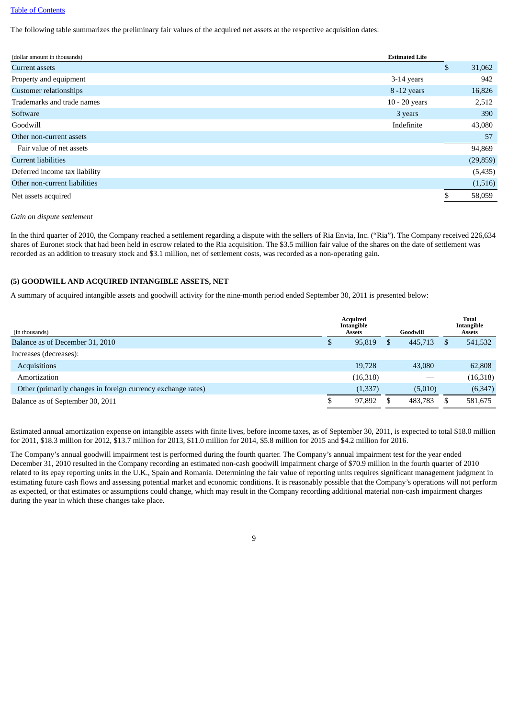#### Table of [Contents](#page-0-0)

The following table summarizes the preliminary fair values of the acquired net assets at the respective acquisition dates:

| (dollar amount in thousands)  | <b>Estimated Life</b> |   |           |
|-------------------------------|-----------------------|---|-----------|
| <b>Current assets</b>         |                       | S | 31,062    |
| Property and equipment        | 3-14 years            |   | 942       |
| Customer relationships        | $8 - 12$ years        |   | 16,826    |
| Trademarks and trade names    | $10 - 20$ years       |   | 2,512     |
| Software                      | 3 years               |   | 390       |
| Goodwill                      | Indefinite            |   | 43,080    |
| Other non-current assets      |                       |   | 57        |
| Fair value of net assets      |                       |   | 94,869    |
| Current liabilities           |                       |   | (29, 859) |
| Deferred income tax liability |                       |   | (5, 435)  |
| Other non-current liabilities |                       |   | (1,516)   |
| Net assets acquired           |                       |   | 58,059    |

#### *Gain on dispute settlement*

In the third quarter of 2010, the Company reached a settlement regarding a dispute with the sellers of Ria Envia, Inc. ("Ria"). The Company received 226,634 shares of Euronet stock that had been held in escrow related to the Ria acquisition. The \$3.5 million fair value of the shares on the date of settlement was recorded as an addition to treasury stock and \$3.1 million, net of settlement costs, was recorded as a non-operating gain.

#### **(5) GOODWILL AND ACQUIRED INTANGIBLE ASSETS, NET**

A summary of acquired intangible assets and goodwill activity for the nine-month period ended September 30, 2011 is presented below:

| (in thousands)                                               | <b>Acquired</b><br>Intangible<br>Goodwill<br><b>Assets</b> |     |         | Total<br>Intangible<br><b>Assets</b> |
|--------------------------------------------------------------|------------------------------------------------------------|-----|---------|--------------------------------------|
| Balance as of December 31, 2010                              | 95.819                                                     | \$  | 445,713 | 541,532                              |
| Increases (decreases):                                       |                                                            |     |         |                                      |
| <b>Acquisitions</b>                                          | 19,728                                                     |     | 43,080  | 62,808                               |
| Amortization                                                 | (16,318)                                                   |     |         | (16,318)                             |
| Other (primarily changes in foreign currency exchange rates) | (1, 337)                                                   |     | (5,010) | (6, 347)                             |
| Balance as of September 30, 2011                             | 97,892                                                     | \$. | 483,783 | 581,675                              |

Estimated annual amortization expense on intangible assets with finite lives, before income taxes, as of September 30, 2011, is expected to total \$18.0 million for 2011, \$18.3 million for 2012, \$13.7 million for 2013, \$11.0 million for 2014, \$5.8 million for 2015 and \$4.2 million for 2016.

The Company's annual goodwill impairment test is performed during the fourth quarter. The Company's annual impairment test for the year ended December 31, 2010 resulted in the Company recording an estimated non-cash goodwill impairment charge of \$70.9 million in the fourth quarter of 2010 related to its epay reporting units in the U.K., Spain and Romania. Determining the fair value of reporting units requires significant management judgment in estimating future cash flows and assessing potential market and economic conditions. It is reasonably possible that the Company's operations will not perform as expected, or that estimates or assumptions could change, which may result in the Company recording additional material non-cash impairment charges during the year in which these changes take place.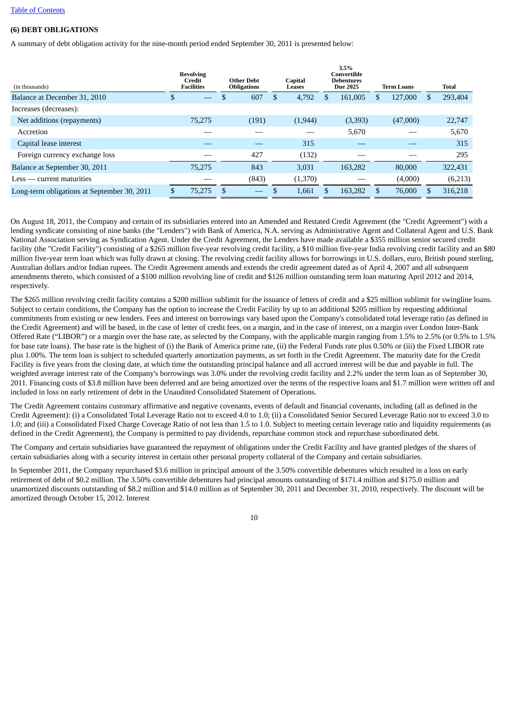## **(6) DEBT OBLIGATIONS**

A summary of debt obligation activity for the nine-month period ended September 30, 2011 is presented below:

| (in thousands)                              | <b>Revolving</b><br>Credit<br><b>Facilities</b> |               | <b>Other Debt</b><br><b>Obligations</b> | Capital<br>Leases | 3.5%<br>Convertible<br><b>Debentures</b><br><b>Due 2025</b> |         | Term Loans |          | <b>Total</b>  |
|---------------------------------------------|-------------------------------------------------|---------------|-----------------------------------------|-------------------|-------------------------------------------------------------|---------|------------|----------|---------------|
| Balance at December 31, 2010                | \$                                              | \$            | 607                                     | 4,792             | £.                                                          | 161,005 | S          | 127,000  | \$<br>293,404 |
| Increases (decreases):                      |                                                 |               |                                         |                   |                                                             |         |            |          |               |
| Net additions (repayments)                  | 75,275                                          |               | (191)                                   | (1,944)           |                                                             | (3,393) |            | (47,000) | 22,747        |
| Accretion                                   |                                                 |               |                                         |                   |                                                             | 5,670   |            |          | 5,670         |
| Capital lease interest                      |                                                 |               |                                         | 315               |                                                             |         |            |          | 315           |
| Foreign currency exchange loss              |                                                 |               | 427                                     | (132)             |                                                             |         |            |          | 295           |
| Balance at September 30, 2011               | 75,275                                          |               | 843                                     | 3,031             |                                                             | 163,282 |            | 80,000   | 322,431       |
| $Less$ — current maturities                 |                                                 |               | (843)                                   | (1,370)           |                                                             |         |            | (4,000)  | (6,213)       |
| Long-term obligations at September 30, 2011 | 75,275                                          | <sup>\$</sup> |                                         | 1,661             | £.                                                          | 163,282 | \$         | 76,000   | 316,218       |

On August 18, 2011, the Company and certain of its subsidiaries entered into an Amended and Restated Credit Agreement (the "Credit Agreement") with a lending syndicate consisting of nine banks (the "Lenders") with Bank of America, N.A. serving as Administrative Agent and Collateral Agent and U.S. Bank National Association serving as Syndication Agent. Under the Credit Agreement, the Lenders have made available a \$355 million senior secured credit facility (the "Credit Facility") consisting of a \$265 million five-year revolving credit facility, a \$10 million five-year India revolving credit facility and an \$80 million five-year term loan which was fully drawn at closing. The revolving credit facility allows for borrowings in U.S. dollars, euro, British pound sterling, Australian dollars and/or Indian rupees. The Credit Agreement amends and extends the credit agreement dated as of April 4, 2007 and all subsequent amendments thereto, which consisted of a \$100 million revolving line of credit and \$126 million outstanding term loan maturing April 2012 and 2014, respectively.

The \$265 million revolving credit facility contains a \$200 million sublimit for the issuance of letters of credit and a \$25 million sublimit for swingline loans. Subject to certain conditions, the Company has the option to increase the Credit Facility by up to an additional \$205 million by requesting additional commitments from existing or new lenders. Fees and interest on borrowings vary based upon the Company's consolidated total leverage ratio (as defined in the Credit Agreement) and will be based, in the case of letter of credit fees, on a margin, and in the case of interest, on a margin over London Inter-Bank Offered Rate ("LIBOR") or a margin over the base rate, as selected by the Company, with the applicable margin ranging from 1.5% to 2.5% (or 0.5% to 1.5% for base rate loans). The base rate is the highest of (i) the Bank of America prime rate, (ii) the Federal Funds rate plus 0.50% or (iii) the Fixed LIBOR rate plus 1.00%. The term loan is subject to scheduled quarterly amortization payments, as set forth in the Credit Agreement. The maturity date for the Credit Facility is five years from the closing date, at which time the outstanding principal balance and all accrued interest will be due and payable in full. The weighted average interest rate of the Company's borrowings was 3.0% under the revolving credit facility and 2.2% under the term loan as of September 30, 2011. Financing costs of \$3.8 million have been deferred and are being amortized over the terms of the respective loans and \$1.7 million were written off and included in loss on early retirement of debt in the Unaudited Consolidated Statement of Operations.

The Credit Agreement contains customary affirmative and negative covenants, events of default and financial covenants, including (all as defined in the Credit Agreement): (i) a Consolidated Total Leverage Ratio not to exceed 4.0 to 1.0; (ii) a Consolidated Senior Secured Leverage Ratio not to exceed 3.0 to 1.0; and (iii) a Consolidated Fixed Charge Coverage Ratio of not less than 1.5 to 1.0. Subject to meeting certain leverage ratio and liquidity requirements (as defined in the Credit Agreement), the Company is permitted to pay dividends, repurchase common stock and repurchase subordinated debt.

The Company and certain subsidiaries have guaranteed the repayment of obligations under the Credit Facility and have granted pledges of the shares of certain subsidiaries along with a security interest in certain other personal property collateral of the Company and certain subsidiaries.

In September 2011, the Company repurchased \$3.6 million in principal amount of the 3.50% convertible debentures which resulted in a loss on early retirement of debt of \$0.2 million. The 3.50% convertible debentures had principal amounts outstanding of \$171.4 million and \$175.0 million and unamortized discounts outstanding of \$8.2 million and \$14.0 million as of September 30, 2011 and December 31, 2010, respectively. The discount will be amortized through October 15, 2012. Interest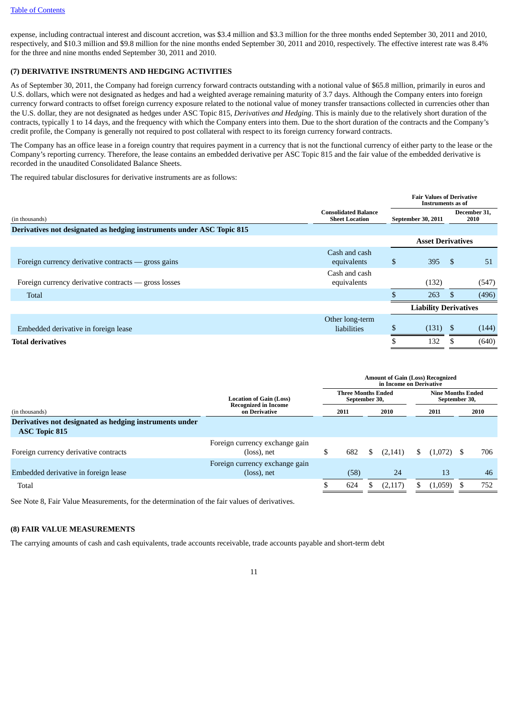expense, including contractual interest and discount accretion, was \$3.4 million and \$3.3 million for the three months ended September 30, 2011 and 2010, respectively, and \$10.3 million and \$9.8 million for the nine months ended September 30, 2011 and 2010, respectively. The effective interest rate was 8.4% for the three and nine months ended September 30, 2011 and 2010.

#### **(7) DERIVATIVE INSTRUMENTS AND HEDGING ACTIVITIES**

As of September 30, 2011, the Company had foreign currency forward contracts outstanding with a notional value of \$65.8 million, primarily in euros and U.S. dollars, which were not designated as hedges and had a weighted average remaining maturity of 3.7 days. Although the Company enters into foreign currency forward contracts to offset foreign currency exposure related to the notional value of money transfer transactions collected in currencies other than the U.S. dollar, they are not designated as hedges under ASC Topic 815, *Derivatives and Hedging*. This is mainly due to the relatively short duration of the contracts, typically 1 to 14 days, and the frequency with which the Company enters into them. Due to the short duration of the contracts and the Company's credit profile, the Company is generally not required to post collateral with respect to its foreign currency forward contracts.

The Company has an office lease in a foreign country that requires payment in a currency that is not the functional currency of either party to the lease or the Company's reporting currency. Therefore, the lease contains an embedded derivative per ASC Topic 815 and the fair value of the embedded derivative is recorded in the unaudited Consolidated Balance Sheets.

The required tabular disclosures for derivative instruments are as follows:

|                                                                       |                                                      | <b>Fair Values of Derivative</b><br>Instruments as of |                              |      |                      |  |  |
|-----------------------------------------------------------------------|------------------------------------------------------|-------------------------------------------------------|------------------------------|------|----------------------|--|--|
| (in thousands)                                                        | <b>Consolidated Balance</b><br><b>Sheet Location</b> |                                                       | September 30, 2011           |      | December 31,<br>2010 |  |  |
| Derivatives not designated as hedging instruments under ASC Topic 815 |                                                      |                                                       |                              |      |                      |  |  |
|                                                                       |                                                      |                                                       | <b>Asset Derivatives</b>     |      |                      |  |  |
| Foreign currency derivative contracts $-$ gross gains                 | Cash and cash<br>equivalents                         | \$                                                    | 395                          | - \$ | 51                   |  |  |
| Foreign currency derivative contracts — gross losses                  | Cash and cash<br>equivalents                         |                                                       | (132)                        |      | (547)                |  |  |
| Total                                                                 |                                                      |                                                       | 263                          | \$.  | (496)                |  |  |
|                                                                       |                                                      |                                                       | <b>Liability Derivatives</b> |      |                      |  |  |
|                                                                       | Other long-term                                      |                                                       |                              |      |                      |  |  |
| Embedded derivative in foreign lease                                  | liabilities                                          | S                                                     | $(131)$ \$                   |      | (144)                |  |  |
| <b>Total derivatives</b>                                              |                                                      |                                                       | 132                          | S    | (640)                |  |  |

|                                                                                 |                                               | <b>Amount of Gain (Loss) Recognized</b><br>in Income on Derivative |                                            |    |          |                                           |         |  |     |  |  |  |      |  |      |  |      |
|---------------------------------------------------------------------------------|-----------------------------------------------|--------------------------------------------------------------------|--------------------------------------------|----|----------|-------------------------------------------|---------|--|-----|--|--|--|------|--|------|--|------|
|                                                                                 | <b>Location of Gain (Loss)</b>                |                                                                    | <b>Three Months Ended</b><br>September 30, |    |          | <b>Nine Months Ended</b><br>September 30, |         |  |     |  |  |  |      |  |      |  |      |
| (in thousands)                                                                  | <b>Recognized in Income</b><br>on Derivative  | 2011                                                               |                                            |    |          |                                           |         |  |     |  |  |  | 2010 |  | 2011 |  | 2010 |
| Derivatives not designated as hedging instruments under<br><b>ASC Topic 815</b> |                                               |                                                                    |                                            |    |          |                                           |         |  |     |  |  |  |      |  |      |  |      |
| Foreign currency derivative contracts                                           | Foreign currency exchange gain<br>(loss), net | S                                                                  | 682                                        | \$ | (2, 141) | S                                         | (1,072) |  | 706 |  |  |  |      |  |      |  |      |
| Embedded derivative in foreign lease                                            | Foreign currency exchange gain<br>(loss), net |                                                                    | (58)                                       |    | 24       |                                           | 13      |  | 46  |  |  |  |      |  |      |  |      |
| Total                                                                           |                                               |                                                                    | 624                                        |    | (2, 117) |                                           | (1,059) |  | 752 |  |  |  |      |  |      |  |      |

See Note 8, Fair Value Measurements, for the determination of the fair values of derivatives.

#### **(8) FAIR VALUE MEASUREMENTS**

The carrying amounts of cash and cash equivalents, trade accounts receivable, trade accounts payable and short-term debt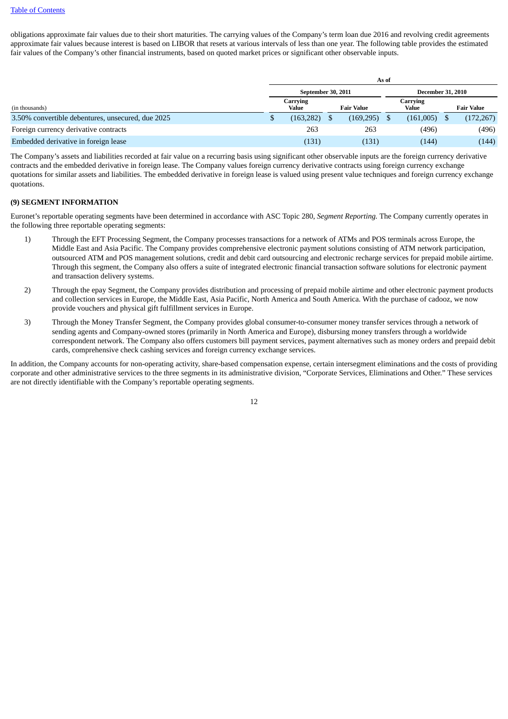obligations approximate fair values due to their short maturities. The carrying values of the Company's term loan due 2016 and revolving credit agreements approximate fair values because interest is based on LIBOR that resets at various intervals of less than one year. The following table provides the estimated fair values of the Company's other financial instruments, based on quoted market prices or significant other observable inputs.

|                                                   | As of |                    |  |                   |  |                          |                   |            |  |  |  |  |
|---------------------------------------------------|-------|--------------------|--|-------------------|--|--------------------------|-------------------|------------|--|--|--|--|
|                                                   |       | September 30, 2011 |  |                   |  | <b>December 31, 2010</b> |                   |            |  |  |  |  |
| (in thousands)                                    |       | Carrying<br>Value  |  | <b>Fair Value</b> |  | Carrying<br>Value        | <b>Fair Value</b> |            |  |  |  |  |
| 3.50% convertible debentures, unsecured, due 2025 | Φ     | (163, 282)         |  | (169, 295)        |  | (161,005)                |                   | (172, 267) |  |  |  |  |
| Foreign currency derivative contracts             |       | 263                |  | 263               |  | (496)                    |                   | (496)      |  |  |  |  |
| Embedded derivative in foreign lease              |       | (131)              |  | (131)             |  | (144)                    |                   | (144)      |  |  |  |  |

The Company's assets and liabilities recorded at fair value on a recurring basis using significant other observable inputs are the foreign currency derivative contracts and the embedded derivative in foreign lease. The Company values foreign currency derivative contracts using foreign currency exchange quotations for similar assets and liabilities. The embedded derivative in foreign lease is valued using present value techniques and foreign currency exchange quotations.

## **(9) SEGMENT INFORMATION**

Euronet's reportable operating segments have been determined in accordance with ASC Topic 280, *Segment Reporting.* The Company currently operates in the following three reportable operating segments:

- 1) Through the EFT Processing Segment, the Company processes transactions for a network of ATMs and POS terminals across Europe, the Middle East and Asia Pacific. The Company provides comprehensive electronic payment solutions consisting of ATM network participation, outsourced ATM and POS management solutions, credit and debit card outsourcing and electronic recharge services for prepaid mobile airtime. Through this segment, the Company also offers a suite of integrated electronic financial transaction software solutions for electronic payment and transaction delivery systems.
- 2) Through the epay Segment, the Company provides distribution and processing of prepaid mobile airtime and other electronic payment products and collection services in Europe, the Middle East, Asia Pacific, North America and South America. With the purchase of cadooz, we now provide vouchers and physical gift fulfillment services in Europe.
- 3) Through the Money Transfer Segment, the Company provides global consumer-to-consumer money transfer services through a network of sending agents and Company-owned stores (primarily in North America and Europe), disbursing money transfers through a worldwide correspondent network. The Company also offers customers bill payment services, payment alternatives such as money orders and prepaid debit cards, comprehensive check cashing services and foreign currency exchange services.

In addition, the Company accounts for non-operating activity, share-based compensation expense, certain intersegment eliminations and the costs of providing corporate and other administrative services to the three segments in its administrative division, "Corporate Services, Eliminations and Other." These services are not directly identifiable with the Company's reportable operating segments.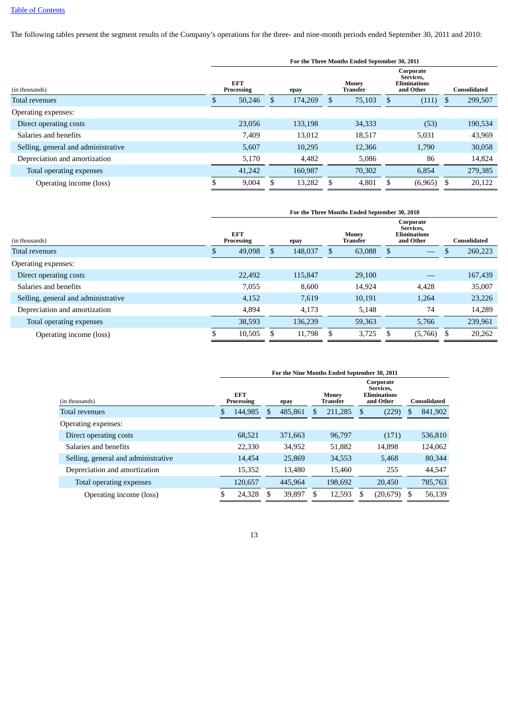The following tables present the segment results of the Company's operations for the three- and nine-month periods ended September 30, 2011 and 2010:

|                                     |                          |         |     | For the Three Months Ended September 30, 2011 |   |                                                            |   |              |
|-------------------------------------|--------------------------|---------|-----|-----------------------------------------------|---|------------------------------------------------------------|---|--------------|
| (in thousands)                      | <b>EFT</b><br>Processing | epay    |     | Money<br>Transfer                             |   | Corporate<br>Services,<br><b>Eliminations</b><br>and Other |   | Consolidated |
| Total revenues                      | 50,246                   | 174,269 | \$. | 75,103                                        | S | (111)                                                      | S | 299,507      |
| Operating expenses:                 |                          |         |     |                                               |   |                                                            |   |              |
| Direct operating costs              | 23,056                   | 133.198 |     | 34,333                                        |   | (53)                                                       |   | 190,534      |
| Salaries and benefits               | 7,409                    | 13.012  |     | 18,517                                        |   | 5,031                                                      |   | 43,969       |
| Selling, general and administrative | 5,607                    | 10,295  |     | 12,366                                        |   | 1,790                                                      |   | 30,058       |
| Depreciation and amortization       | 5,170                    | 4,482   |     | 5,086                                         |   | 86                                                         |   | 14,824       |
| Total operating expenses            | 41,242                   | 160,987 |     | 70,302                                        |   | 6,854                                                      |   | 279,385      |
| Operating income (loss)             | 9,004                    | 13,282  |     | 4,801                                         |   | (6,965)                                                    |   | 20,122       |

|                                     |                                 |   |         |   | For the Three Months Ended September 30, 2010 |               |                                                            |              |
|-------------------------------------|---------------------------------|---|---------|---|-----------------------------------------------|---------------|------------------------------------------------------------|--------------|
| (in thousands)                      | <b>EFT</b><br><b>Processing</b> |   | epay    |   | <b>Money</b><br>Transfer                      |               | Corporate<br>Services.<br><b>Eliminations</b><br>and Other | Consolidated |
| Total revenues                      | 49,098                          | S | 148,037 | Ж | 63,088                                        | <sup>\$</sup> |                                                            | 260,223      |
| Operating expenses:                 |                                 |   |         |   |                                               |               |                                                            |              |
| Direct operating costs              | 22,492                          |   | 115,847 |   | 29,100                                        |               |                                                            | 167,439      |
| Salaries and benefits               | 7,055                           |   | 8,600   |   | 14.924                                        |               | 4.428                                                      | 35,007       |
| Selling, general and administrative | 4,152                           |   | 7,619   |   | 10,191                                        |               | 1,264                                                      | 23,226       |
| Depreciation and amortization       | 4,894                           |   | 4,173   |   | 5,148                                         |               | 74                                                         | 14,289       |
| Total operating expenses            | 38,593                          |   | 136,239 |   | 59,363                                        |               | 5,766                                                      | 239,961      |
| Operating income (loss)             | 10,505                          |   | 11,798  |   | 3,725                                         |               | (5,766)                                                    | 20,262       |

|                                     |    |                   |    |         |   | For the Nine Months Ended September 30, 2011 |     |                                                            |    |              |
|-------------------------------------|----|-------------------|----|---------|---|----------------------------------------------|-----|------------------------------------------------------------|----|--------------|
| (in thousands)                      |    | EFT<br>Processing |    | epay    |   | Money<br><b>Transfer</b>                     |     | Corporate<br>Services.<br><b>Eliminations</b><br>and Other |    | Consolidated |
| <b>Total revenues</b>               | \$ | 144,985           | \$ | 485,861 | S | 211,285                                      | S   | (229)                                                      | S  | 841,902      |
| Operating expenses:                 |    |                   |    |         |   |                                              |     |                                                            |    |              |
| Direct operating costs              |    | 68.521            |    | 371,663 |   | 96.797                                       |     | (171)                                                      |    | 536,810      |
| Salaries and benefits               |    | 22,330            |    | 34,952  |   | 51,882                                       |     | 14,898                                                     |    | 124,062      |
| Selling, general and administrative |    | 14.454            |    | 25,869  |   | 34,553                                       |     | 5.468                                                      |    | 80,344       |
| Depreciation and amortization       |    | 15,352            |    | 13,480  |   | 15,460                                       |     | 255                                                        |    | 44,547       |
| Total operating expenses            |    | 120,657           |    | 445.964 |   | 198,692                                      |     | 20,450                                                     |    | 785,763      |
| Operating income (loss)             | S. | 24,328            | S  | 39,897  |   | 12,593                                       | \$. | (20, 679)                                                  | \$ | 56,139       |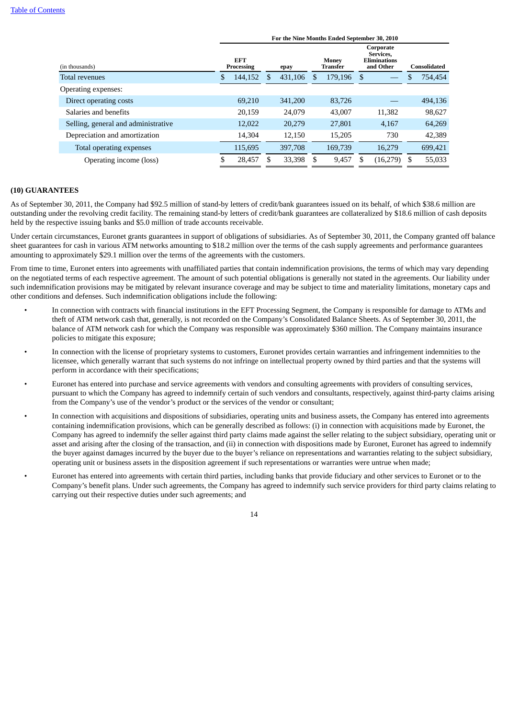|                                     |   |                   |    |         |     | For the Nine Months Ended September 30, 2010 |      |                                                            |   |              |
|-------------------------------------|---|-------------------|----|---------|-----|----------------------------------------------|------|------------------------------------------------------------|---|--------------|
| (in thousands)                      |   | EFT<br>Processing |    | epay    |     | Money<br>Transfer                            |      | Corporate<br>Services.<br><b>Eliminations</b><br>and Other |   | Consolidated |
| Total revenues                      | S | 144,152           | \$ | 431,106 | \$  | 179.196                                      | - \$ |                                                            | S | 754,454      |
| Operating expenses:                 |   |                   |    |         |     |                                              |      |                                                            |   |              |
| Direct operating costs              |   | 69,210            |    | 341,200 |     | 83,726                                       |      |                                                            |   | 494,136      |
| Salaries and benefits               |   | 20,159            |    | 24,079  |     | 43,007                                       |      | 11,382                                                     |   | 98,627       |
| Selling, general and administrative |   | 12.022            |    | 20.279  |     | 27,801                                       |      | 4,167                                                      |   | 64,269       |
| Depreciation and amortization       |   | 14,304            |    | 12,150  |     | 15,205                                       |      | 730                                                        |   | 42,389       |
| Total operating expenses            |   | 115.695           |    | 397,708 |     | 169,739                                      |      | 16.279                                                     |   | 699.421      |
| Operating income (loss)             |   | 28.457            | S  | 33,398  | \$. | 9.457                                        | S    | (16, 279)                                                  | S | 55,033       |

#### **(10) GUARANTEES**

As of September 30, 2011, the Company had \$92.5 million of stand-by letters of credit/bank guarantees issued on its behalf, of which \$38.6 million are outstanding under the revolving credit facility. The remaining stand-by letters of credit/bank guarantees are collateralized by \$18.6 million of cash deposits held by the respective issuing banks and \$5.0 million of trade accounts receivable.

Under certain circumstances, Euronet grants guarantees in support of obligations of subsidiaries. As of September 30, 2011, the Company granted off balance sheet guarantees for cash in various ATM networks amounting to \$18.2 million over the terms of the cash supply agreements and performance guarantees amounting to approximately \$29.1 million over the terms of the agreements with the customers.

From time to time, Euronet enters into agreements with unaffiliated parties that contain indemnification provisions, the terms of which may vary depending on the negotiated terms of each respective agreement. The amount of such potential obligations is generally not stated in the agreements. Our liability under such indemnification provisions may be mitigated by relevant insurance coverage and may be subject to time and materiality limitations, monetary caps and other conditions and defenses. Such indemnification obligations include the following:

- In connection with contracts with financial institutions in the EFT Processing Segment, the Company is responsible for damage to ATMs and theft of ATM network cash that, generally, is not recorded on the Company's Consolidated Balance Sheets. As of September 30, 2011, the balance of ATM network cash for which the Company was responsible was approximately \$360 million. The Company maintains insurance policies to mitigate this exposure;
- In connection with the license of proprietary systems to customers, Euronet provides certain warranties and infringement indemnities to the licensee, which generally warrant that such systems do not infringe on intellectual property owned by third parties and that the systems will perform in accordance with their specifications;
- Euronet has entered into purchase and service agreements with vendors and consulting agreements with providers of consulting services, pursuant to which the Company has agreed to indemnify certain of such vendors and consultants, respectively, against third-party claims arising from the Company's use of the vendor's product or the services of the vendor or consultant;
- In connection with acquisitions and dispositions of subsidiaries, operating units and business assets, the Company has entered into agreements containing indemnification provisions, which can be generally described as follows: (i) in connection with acquisitions made by Euronet, the Company has agreed to indemnify the seller against third party claims made against the seller relating to the subject subsidiary, operating unit or asset and arising after the closing of the transaction, and (ii) in connection with dispositions made by Euronet, Euronet has agreed to indemnify the buyer against damages incurred by the buyer due to the buyer's reliance on representations and warranties relating to the subject subsidiary, operating unit or business assets in the disposition agreement if such representations or warranties were untrue when made;
- Euronet has entered into agreements with certain third parties, including banks that provide fiduciary and other services to Euronet or to the Company's benefit plans. Under such agreements, the Company has agreed to indemnify such service providers for third party claims relating to carrying out their respective duties under such agreements; and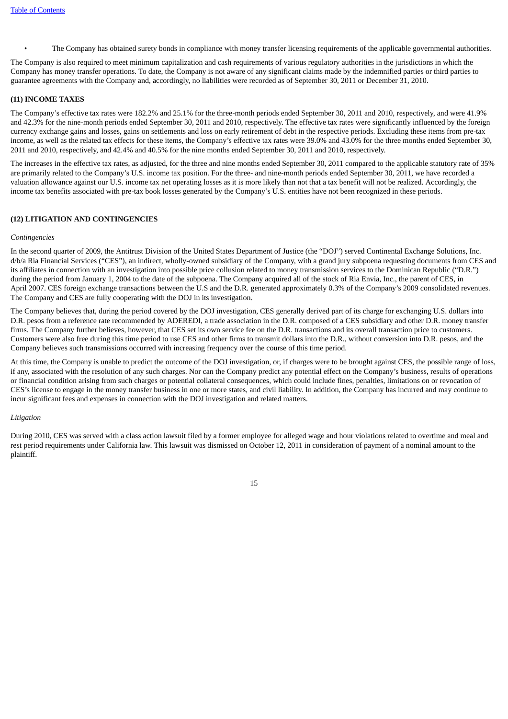• The Company has obtained surety bonds in compliance with money transfer licensing requirements of the applicable governmental authorities.

The Company is also required to meet minimum capitalization and cash requirements of various regulatory authorities in the jurisdictions in which the Company has money transfer operations. To date, the Company is not aware of any significant claims made by the indemnified parties or third parties to guarantee agreements with the Company and, accordingly, no liabilities were recorded as of September 30, 2011 or December 31, 2010.

#### **(11) INCOME TAXES**

The Company's effective tax rates were 182.2% and 25.1% for the three-month periods ended September 30, 2011 and 2010, respectively, and were 41.9% and 42.3% for the nine-month periods ended September 30, 2011 and 2010, respectively. The effective tax rates were significantly influenced by the foreign currency exchange gains and losses, gains on settlements and loss on early retirement of debt in the respective periods. Excluding these items from pre-tax income, as well as the related tax effects for these items, the Company's effective tax rates were 39.0% and 43.0% for the three months ended September 30, 2011 and 2010, respectively, and 42.4% and 40.5% for the nine months ended September 30, 2011 and 2010, respectively.

The increases in the effective tax rates, as adjusted, for the three and nine months ended September 30, 2011 compared to the applicable statutory rate of 35% are primarily related to the Company's U.S. income tax position. For the three- and nine-month periods ended September 30, 2011, we have recorded a valuation allowance against our U.S. income tax net operating losses as it is more likely than not that a tax benefit will not be realized. Accordingly, the income tax benefits associated with pre-tax book losses generated by the Company's U.S. entities have not been recognized in these periods.

#### **(12) LITIGATION AND CONTINGENCIES**

#### *Contingencies*

In the second quarter of 2009, the Antitrust Division of the United States Department of Justice (the "DOJ") served Continental Exchange Solutions, Inc. d/b/a Ria Financial Services ("CES"), an indirect, wholly-owned subsidiary of the Company, with a grand jury subpoena requesting documents from CES and its affiliates in connection with an investigation into possible price collusion related to money transmission services to the Dominican Republic ("D.R.") during the period from January 1, 2004 to the date of the subpoena. The Company acquired all of the stock of Ria Envia, Inc., the parent of CES, in April 2007. CES foreign exchange transactions between the U.S and the D.R. generated approximately 0.3% of the Company's 2009 consolidated revenues. The Company and CES are fully cooperating with the DOJ in its investigation.

The Company believes that, during the period covered by the DOJ investigation, CES generally derived part of its charge for exchanging U.S. dollars into D.R. pesos from a reference rate recommended by ADEREDI, a trade association in the D.R. composed of a CES subsidiary and other D.R. money transfer firms. The Company further believes, however, that CES set its own service fee on the D.R. transactions and its overall transaction price to customers. Customers were also free during this time period to use CES and other firms to transmit dollars into the D.R., without conversion into D.R. pesos, and the Company believes such transmissions occurred with increasing frequency over the course of this time period.

At this time, the Company is unable to predict the outcome of the DOJ investigation, or, if charges were to be brought against CES, the possible range of loss, if any, associated with the resolution of any such charges. Nor can the Company predict any potential effect on the Company's business, results of operations or financial condition arising from such charges or potential collateral consequences, which could include fines, penalties, limitations on or revocation of CES's license to engage in the money transfer business in one or more states, and civil liability. In addition, the Company has incurred and may continue to incur significant fees and expenses in connection with the DOJ investigation and related matters.

#### *Litigation*

<span id="page-14-0"></span>During 2010, CES was served with a class action lawsuit filed by a former employee for alleged wage and hour violations related to overtime and meal and rest period requirements under California law. This lawsuit was dismissed on October 12, 2011 in consideration of payment of a nominal amount to the plaintiff.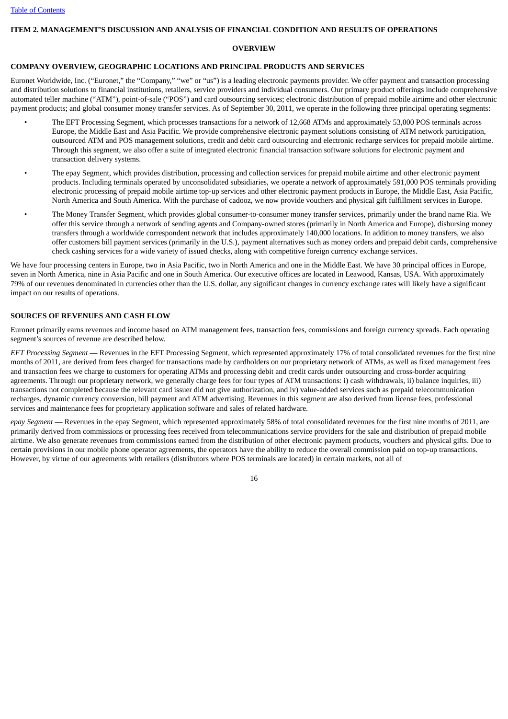#### **ITEM 2. MANAGEMENT'S DISCUSSION AND ANALYSIS OF FINANCIAL CONDITION AND RESULTS OF OPERATIONS**

#### **OVERVIEW**

#### **COMPANY OVERVIEW, GEOGRAPHIC LOCATIONS AND PRINCIPAL PRODUCTS AND SERVICES**

Euronet Worldwide, Inc. ("Euronet," the "Company," "we" or "us") is a leading electronic payments provider. We offer payment and transaction processing and distribution solutions to financial institutions, retailers, service providers and individual consumers. Our primary product offerings include comprehensive automated teller machine ("ATM"), point-of-sale ("POS") and card outsourcing services; electronic distribution of prepaid mobile airtime and other electronic payment products; and global consumer money transfer services. As of September 30, 2011, we operate in the following three principal operating segments:

- The EFT Processing Segment, which processes transactions for a network of 12,668 ATMs and approximately 53,000 POS terminals across Europe, the Middle East and Asia Pacific. We provide comprehensive electronic payment solutions consisting of ATM network participation, outsourced ATM and POS management solutions, credit and debit card outsourcing and electronic recharge services for prepaid mobile airtime. Through this segment, we also offer a suite of integrated electronic financial transaction software solutions for electronic payment and transaction delivery systems.
- The epay Segment, which provides distribution, processing and collection services for prepaid mobile airtime and other electronic payment products. Including terminals operated by unconsolidated subsidiaries, we operate a network of approximately 591,000 POS terminals providing electronic processing of prepaid mobile airtime top-up services and other electronic payment products in Europe, the Middle East, Asia Pacific, North America and South America. With the purchase of cadooz, we now provide vouchers and physical gift fulfillment services in Europe.
- The Money Transfer Segment, which provides global consumer-to-consumer money transfer services, primarily under the brand name Ria. We offer this service through a network of sending agents and Company-owned stores (primarily in North America and Europe), disbursing money transfers through a worldwide correspondent network that includes approximately 140,000 locations. In addition to money transfers, we also offer customers bill payment services (primarily in the U.S.), payment alternatives such as money orders and prepaid debit cards, comprehensive check cashing services for a wide variety of issued checks, along with competitive foreign currency exchange services.

We have four processing centers in Europe, two in Asia Pacific, two in North America and one in the Middle East. We have 30 principal offices in Europe, seven in North America, nine in Asia Pacific and one in South America. Our executive offices are located in Leawood, Kansas, USA. With approximately 79% of our revenues denominated in currencies other than the U.S. dollar, any significant changes in currency exchange rates will likely have a significant impact on our results of operations.

#### **SOURCES OF REVENUES AND CASH FLOW**

Euronet primarily earns revenues and income based on ATM management fees, transaction fees, commissions and foreign currency spreads. Each operating segment's sources of revenue are described below.

*EFT Processing Segment* — Revenues in the EFT Processing Segment, which represented approximately 17% of total consolidated revenues for the first nine months of 2011, are derived from fees charged for transactions made by cardholders on our proprietary network of ATMs, as well as fixed management fees and transaction fees we charge to customers for operating ATMs and processing debit and credit cards under outsourcing and cross-border acquiring agreements. Through our proprietary network, we generally charge fees for four types of ATM transactions: i) cash withdrawals, ii) balance inquiries, iii) transactions not completed because the relevant card issuer did not give authorization, and iv) value-added services such as prepaid telecommunication recharges, dynamic currency conversion, bill payment and ATM advertising. Revenues in this segment are also derived from license fees, professional services and maintenance fees for proprietary application software and sales of related hardware.

*epay Segment* — Revenues in the epay Segment, which represented approximately 58% of total consolidated revenues for the first nine months of 2011, are primarily derived from commissions or processing fees received from telecommunications service providers for the sale and distribution of prepaid mobile airtime. We also generate revenues from commissions earned from the distribution of other electronic payment products, vouchers and physical gifts. Due to certain provisions in our mobile phone operator agreements, the operators have the ability to reduce the overall commission paid on top-up transactions. However, by virtue of our agreements with retailers (distributors where POS terminals are located) in certain markets, not all of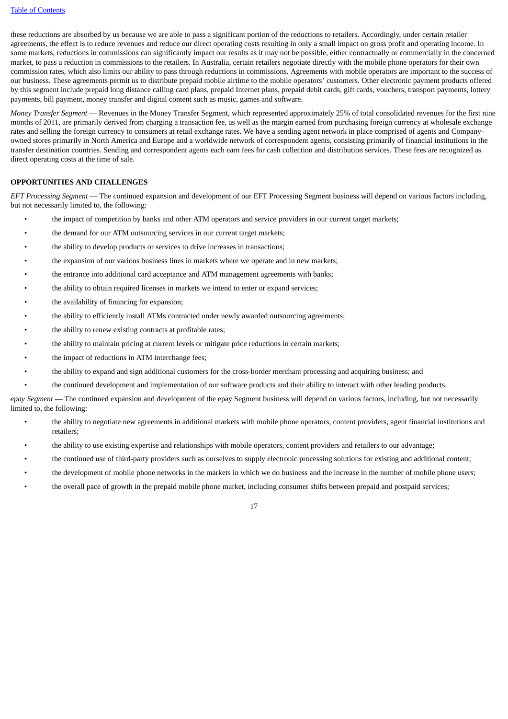these reductions are absorbed by us because we are able to pass a significant portion of the reductions to retailers. Accordingly, under certain retailer agreements, the effect is to reduce revenues and reduce our direct operating costs resulting in only a small impact on gross profit and operating income. In some markets, reductions in commissions can significantly impact our results as it may not be possible, either contractually or commercially in the concerned market, to pass a reduction in commissions to the retailers. In Australia, certain retailers negotiate directly with the mobile phone operators for their own commission rates, which also limits our ability to pass through reductions in commissions. Agreements with mobile operators are important to the success of our business. These agreements permit us to distribute prepaid mobile airtime to the mobile operators' customers. Other electronic payment products offered by this segment include prepaid long distance calling card plans, prepaid Internet plans, prepaid debit cards, gift cards, vouchers, transport payments, lottery payments, bill payment, money transfer and digital content such as music, games and software.

*Money Transfer Segment* — Revenues in the Money Transfer Segment, which represented approximately 25% of total consolidated revenues for the first nine months of 2011, are primarily derived from charging a transaction fee, as well as the margin earned from purchasing foreign currency at wholesale exchange rates and selling the foreign currency to consumers at retail exchange rates. We have a sending agent network in place comprised of agents and Companyowned stores primarily in North America and Europe and a worldwide network of correspondent agents, consisting primarily of financial institutions in the transfer destination countries. Sending and correspondent agents each earn fees for cash collection and distribution services. These fees are recognized as direct operating costs at the time of sale.

## **OPPORTUNITIES AND CHALLENGES**

*EFT Processing Segment* — The continued expansion and development of our EFT Processing Segment business will depend on various factors including, but not necessarily limited to, the following:

- the impact of competition by banks and other ATM operators and service providers in our current target markets;
- the demand for our ATM outsourcing services in our current target markets;
- the ability to develop products or services to drive increases in transactions;
- the expansion of our various business lines in markets where we operate and in new markets;
- the entrance into additional card acceptance and ATM management agreements with banks;
- the ability to obtain required licenses in markets we intend to enter or expand services;
- the availability of financing for expansion;
- the ability to efficiently install ATMs contracted under newly awarded outsourcing agreements;
- the ability to renew existing contracts at profitable rates;
- the ability to maintain pricing at current levels or mitigate price reductions in certain markets;
- the impact of reductions in ATM interchange fees:
- the ability to expand and sign additional customers for the cross-border merchant processing and acquiring business; and
- the continued development and implementation of our software products and their ability to interact with other leading products.

*epay Segment* — The continued expansion and development of the epay Segment business will depend on various factors, including, but not necessarily limited to, the following:

- the ability to negotiate new agreements in additional markets with mobile phone operators, content providers, agent financial institutions and retailers;
- the ability to use existing expertise and relationships with mobile operators, content providers and retailers to our advantage;
- the continued use of third-party providers such as ourselves to supply electronic processing solutions for existing and additional content;
- the development of mobile phone networks in the markets in which we do business and the increase in the number of mobile phone users;
- the overall pace of growth in the prepaid mobile phone market, including consumer shifts between prepaid and postpaid services;

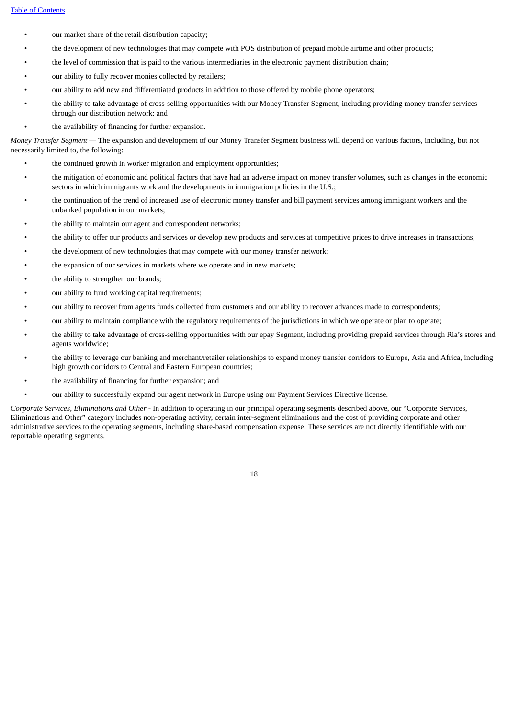- our market share of the retail distribution capacity;
- the development of new technologies that may compete with POS distribution of prepaid mobile airtime and other products;
- the level of commission that is paid to the various intermediaries in the electronic payment distribution chain;
- our ability to fully recover monies collected by retailers;
- our ability to add new and differentiated products in addition to those offered by mobile phone operators;
- the ability to take advantage of cross-selling opportunities with our Money Transfer Segment, including providing money transfer services through our distribution network; and
- the availability of financing for further expansion.

*Money Transfer Segment —* The expansion and development of our Money Transfer Segment business will depend on various factors, including, but not necessarily limited to, the following:

- the continued growth in worker migration and employment opportunities;
- the mitigation of economic and political factors that have had an adverse impact on money transfer volumes, such as changes in the economic sectors in which immigrants work and the developments in immigration policies in the U.S.;
- the continuation of the trend of increased use of electronic money transfer and bill payment services among immigrant workers and the unbanked population in our markets;
- the ability to maintain our agent and correspondent networks;
- the ability to offer our products and services or develop new products and services at competitive prices to drive increases in transactions;
- the development of new technologies that may compete with our money transfer network;
- the expansion of our services in markets where we operate and in new markets;
- the ability to strengthen our brands;
- our ability to fund working capital requirements;
- our ability to recover from agents funds collected from customers and our ability to recover advances made to correspondents;
- our ability to maintain compliance with the regulatory requirements of the jurisdictions in which we operate or plan to operate;
- the ability to take advantage of cross-selling opportunities with our epay Segment, including providing prepaid services through Ria's stores and agents worldwide;
- the ability to leverage our banking and merchant/retailer relationships to expand money transfer corridors to Europe, Asia and Africa, including high growth corridors to Central and Eastern European countries;
- the availability of financing for further expansion; and
- our ability to successfully expand our agent network in Europe using our Payment Services Directive license.

*Corporate Services, Eliminations and Other* - In addition to operating in our principal operating segments described above, our "Corporate Services, Eliminations and Other" category includes non-operating activity, certain inter-segment eliminations and the cost of providing corporate and other administrative services to the operating segments, including share-based compensation expense. These services are not directly identifiable with our reportable operating segments.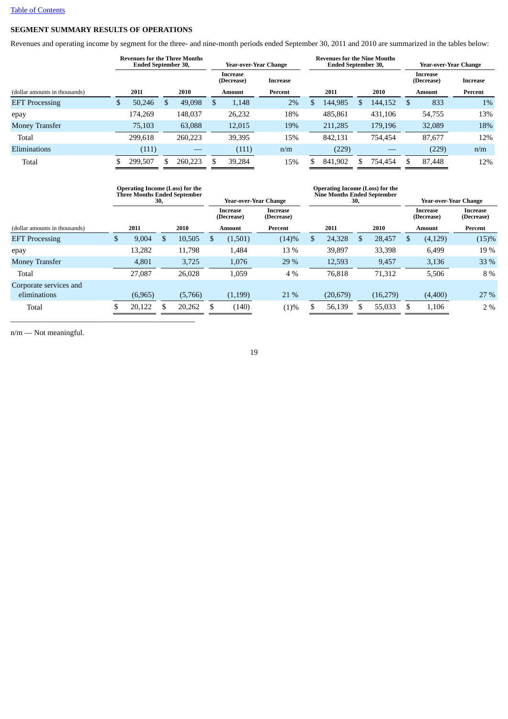## **SEGMENT SUMMARY RESULTS OF OPERATIONS**

Revenues and operating income by segment for the three- and nine-month periods ended September 30, 2011 and 2010 are summarized in the tables below:

|                               | <b>Revenues for the Three Months</b><br><b>Ended September 30,</b> |         |  |                        | Year-over-Year Change |     |     | <b>Revenues for the Nine Months</b><br><b>Ended September 30,</b> |         |                        | Year-over-Year Change |
|-------------------------------|--------------------------------------------------------------------|---------|--|------------------------|-----------------------|-----|-----|-------------------------------------------------------------------|---------|------------------------|-----------------------|
|                               |                                                                    |         |  | Increase<br>(Decrease) | Increase              |     |     |                                                                   |         | Increase<br>(Decrease) | <b>Increase</b>       |
| (dollar amounts in thousands) | 2011                                                               | 2010    |  | <b>Amount</b>          | Percent               |     |     | 2011                                                              | 2010    | <b>Amount</b>          | Percent               |
| <b>EFT</b> Processing         | \$<br>50,246                                                       | 49,098  |  | 1,148                  |                       | 2%  | .T) | 144,985                                                           | 144,152 | 833                    | $1\%$                 |
| epay                          | 174.269                                                            | 148,037 |  | 26,232                 |                       | 18% |     | 485,861                                                           | 431,106 | 54,755                 | 13%                   |
| <b>Money Transfer</b>         | 75,103                                                             | 63,088  |  | 12,015                 |                       | 19% |     | 211,285                                                           | 179,196 | 32,089                 | 18%                   |
| Total                         | 299.618                                                            | 260,223 |  | 39,395                 |                       | 15% |     | 842,131                                                           | 754.454 | 87,677                 | 12%                   |
| <b>Eliminations</b>           | (111)                                                              |         |  | (111)                  | n/m                   |     |     | (229)                                                             |         | (229)                  | n/m                   |
| Total                         | 299,507                                                            | 260,223 |  | 39,284                 |                       | 15% |     | 841,902                                                           | 754,454 | 87,448                 | 12%                   |

|                                        | <b>Operating Income (Loss) for the</b><br><b>Three Months Ended September</b> | 30, |         |              |                        | <b>Year-over-Year Change</b> |    | <b>Operating Income (Loss) for the</b><br><b>Nine Months Ended September</b> | 30, |          |     |                        | <b>Year-over-Year Change</b> |
|----------------------------------------|-------------------------------------------------------------------------------|-----|---------|--------------|------------------------|------------------------------|----|------------------------------------------------------------------------------|-----|----------|-----|------------------------|------------------------------|
|                                        |                                                                               |     |         |              | Increase<br>(Decrease) | Increase<br>(Decrease)       |    |                                                                              |     |          |     | Increase<br>(Decrease) | Increase<br>(Decrease)       |
| (dollar amounts in thousands)          | 2011                                                                          |     | 2010    |              | Amount                 | Percent                      |    | 2011                                                                         |     | 2010     |     | Amount                 | Percent                      |
| <b>EFT</b> Processing                  | 9,004                                                                         | \$. | 10,505  | <sup>S</sup> | (1,501)                | (14)%                        | \$ | 24,328                                                                       | S   | 28,457   | \$. | (4,129)                | (15)%                        |
| epay                                   | 13,282                                                                        |     | 11,798  |              | 1,484                  | 13 %                         |    | 39,897                                                                       |     | 33,398   |     | 6,499                  | 19 %                         |
| <b>Money Transfer</b>                  | 4,801                                                                         |     | 3,725   |              | 1,076                  | 29 %                         |    | 12,593                                                                       |     | 9,457    |     | 3,136                  | 33 %                         |
| Total                                  | 27,087                                                                        |     | 26,028  |              | 1,059                  | 4 %                          |    | 76,818                                                                       |     | 71,312   |     | 5,506                  | 8 %                          |
| Corporate services and<br>eliminations | (6,965)                                                                       |     | (5,766) |              | (1,199)                | 21 %                         |    | (20, 679)                                                                    |     | (16,279) |     | (4,400)                | 27 %                         |
| Total                                  | 20,122                                                                        | \$. | 20,262  |              | (140)                  | (1)%                         |    | 56,139                                                                       |     | 55,033   |     | 1,106                  | $2\%$                        |

n/m — Not meaningful.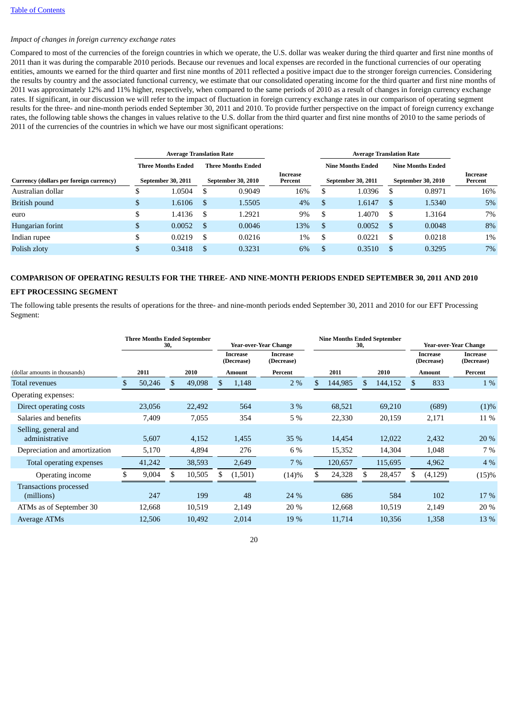#### *Impact of changes in foreign currency exchange rates*

Compared to most of the currencies of the foreign countries in which we operate, the U.S. dollar was weaker during the third quarter and first nine months of 2011 than it was during the comparable 2010 periods. Because our revenues and local expenses are recorded in the functional currencies of our operating entities, amounts we earned for the third quarter and first nine months of 2011 reflected a positive impact due to the stronger foreign currencies. Considering the results by country and the associated functional currency, we estimate that our consolidated operating income for the third quarter and first nine months of 2011 was approximately 12% and 11% higher, respectively, when compared to the same periods of 2010 as a result of changes in foreign currency exchange rates. If significant, in our discussion we will refer to the impact of fluctuation in foreign currency exchange rates in our comparison of operating segment results for the three- and nine-month periods ended September 30, 2011 and 2010. To provide further perspective on the impact of foreign currency exchange rates, the following table shows the changes in values relative to the U.S. dollar from the third quarter and first nine months of 2010 to the same periods of 2011 of the currencies of the countries in which we have our most significant operations:

|                                         |    | <b>Average Translation Rate</b> |      |                           |                     |    | <b>Average Translation Rate</b> |    |                          |                     |
|-----------------------------------------|----|---------------------------------|------|---------------------------|---------------------|----|---------------------------------|----|--------------------------|---------------------|
|                                         |    | <b>Three Months Ended</b>       |      | <b>Three Months Ended</b> |                     |    | <b>Nine Months Ended</b>        |    | <b>Nine Months Ended</b> |                     |
| Currency (dollars per foreign currency) |    | September 30, 2011              |      | September 30, 2010        | Increase<br>Percent |    | September 30, 2011              |    | September 30, 2010       | Increase<br>Percent |
| Australian dollar                       | ω  | 1.0504                          |      | 0.9049                    | 16%                 | Φ  | 1.0396                          | S  | 0.8971                   | 16%                 |
| British pound                           | \$ | 1.6106                          | -\$  | 1.5505                    | 4%                  | \$ | 1.6147                          | \$ | 1.5340                   | 5%                  |
| euro                                    | D  | 1.4136                          | - \$ | 1.2921                    | $9\%$               | \$ | 1.4070                          | -S | 1.3164                   | 7%                  |
| Hungarian forint                        | \$ | 0.0052                          | -\$  | 0.0046                    | 13%                 | -S | 0.0052                          | S  | 0.0048                   | 8%                  |
| Indian rupee                            | ۰υ | 0.0219                          | -S   | 0.0216                    | $1\%$               | \$ | 0.0221                          | \$ | 0.0218                   | 1%                  |
| Polish zloty                            | ۰D | 0.3418                          |      | 0.3231                    | 6%                  | S  | 0.3510                          | \$ | 0.3295                   | 7%                  |

## **COMPARISON OF OPERATING RESULTS FOR THE THREE- AND NINE-MONTH PERIODS ENDED SEPTEMBER 30, 2011 AND 2010**

#### **EFT PROCESSING SEGMENT**

The following table presents the results of operations for the three- and nine-month periods ended September 30, 2011 and 2010 for our EFT Processing Segment:

|                                        | <b>Three Months Ended September</b> | 30, |        |                        | Year-over-Year Change         |     | <b>Nine Months Ended September</b> | 30, |         |     |                               | Year-over-Year Change         |
|----------------------------------------|-------------------------------------|-----|--------|------------------------|-------------------------------|-----|------------------------------------|-----|---------|-----|-------------------------------|-------------------------------|
|                                        |                                     |     |        | Increase<br>(Decrease) | <b>Increase</b><br>(Decrease) |     |                                    |     |         |     | <b>Increase</b><br>(Decrease) | <b>Increase</b><br>(Decrease) |
| (dollar amounts in thousands)          | 2011                                |     | 2010   | Amount                 | Percent                       |     | 2011                               |     | 2010    |     | <b>Amount</b>                 | Percent                       |
| Total revenues                         | \$<br>50,246                        | \$. | 49,098 | 1,148                  | 2%                            | \$. | 144,985                            | \$  | 144,152 | \$. | 833                           | 1 %                           |
| Operating expenses:                    |                                     |     |        |                        |                               |     |                                    |     |         |     |                               |                               |
| Direct operating costs                 | 23,056                              |     | 22,492 | 564                    | 3%                            |     | 68,521                             |     | 69,210  |     | (689)                         | (1)%                          |
| Salaries and benefits                  | 7,409                               |     | 7,055  | 354                    | 5 %                           |     | 22,330                             |     | 20,159  |     | 2,171                         | 11 %                          |
| Selling, general and<br>administrative | 5,607                               |     | 4,152  | 1,455                  | 35 %                          |     | 14,454                             |     | 12,022  |     | 2,432                         | 20 %                          |
| Depreciation and amortization          | 5,170                               |     | 4,894  | 276                    | 6 %                           |     | 15,352                             |     | 14,304  |     | 1,048                         | 7 %                           |
| Total operating expenses               | 41,242                              |     | 38,593 | 2,649                  | 7%                            |     | 120,657                            |     | 115,695 |     | 4,962                         | 4%                            |
| Operating income                       | \$<br>9,004                         |     | 10,505 | (1,501)                | (14)%                         |     | 24,328                             |     | 28,457  |     | (4, 129)                      | (15)%                         |
| Transactions processed<br>(millions)   | 247                                 |     | 199    | 48                     | 24 %                          |     | 686                                |     | 584     |     | 102                           | 17 %                          |
| ATMs as of September 30                | 12,668                              |     | 10,519 | 2,149                  | 20 %                          |     | 12,668                             |     | 10,519  |     | 2,149                         | 20 %                          |
| Average ATMs                           | 12,506                              |     | 10,492 | 2,014                  | 19 %                          |     | 11,714                             |     | 10,356  |     | 1,358                         | 13 %                          |

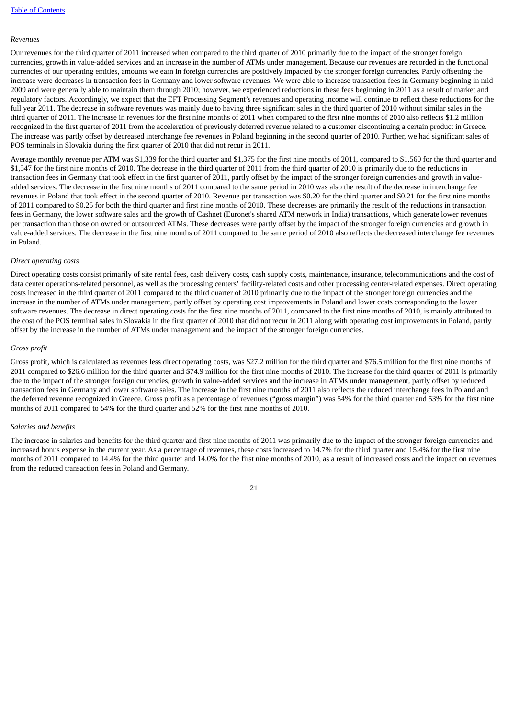#### *Revenues*

Our revenues for the third quarter of 2011 increased when compared to the third quarter of 2010 primarily due to the impact of the stronger foreign currencies, growth in value-added services and an increase in the number of ATMs under management. Because our revenues are recorded in the functional currencies of our operating entities, amounts we earn in foreign currencies are positively impacted by the stronger foreign currencies. Partly offsetting the increase were decreases in transaction fees in Germany and lower software revenues. We were able to increase transaction fees in Germany beginning in mid-2009 and were generally able to maintain them through 2010; however, we experienced reductions in these fees beginning in 2011 as a result of market and regulatory factors. Accordingly, we expect that the EFT Processing Segment's revenues and operating income will continue to reflect these reductions for the full year 2011. The decrease in software revenues was mainly due to having three significant sales in the third quarter of 2010 without similar sales in the third quarter of 2011. The increase in revenues for the first nine months of 2011 when compared to the first nine months of 2010 also reflects \$1.2 million recognized in the first quarter of 2011 from the acceleration of previously deferred revenue related to a customer discontinuing a certain product in Greece. The increase was partly offset by decreased interchange fee revenues in Poland beginning in the second quarter of 2010. Further, we had significant sales of POS terminals in Slovakia during the first quarter of 2010 that did not recur in 2011.

Average monthly revenue per ATM was \$1,339 for the third quarter and \$1,375 for the first nine months of 2011, compared to \$1,560 for the third quarter and \$1,547 for the first nine months of 2010. The decrease in the third quarter of 2011 from the third quarter of 2010 is primarily due to the reductions in transaction fees in Germany that took effect in the first quarter of 2011, partly offset by the impact of the stronger foreign currencies and growth in valueadded services. The decrease in the first nine months of 2011 compared to the same period in 2010 was also the result of the decrease in interchange fee revenues in Poland that took effect in the second quarter of 2010. Revenue per transaction was \$0.20 for the third quarter and \$0.21 for the first nine months of 2011 compared to \$0.25 for both the third quarter and first nine months of 2010. These decreases are primarily the result of the reductions in transaction fees in Germany, the lower software sales and the growth of Cashnet (Euronet's shared ATM network in India) transactions, which generate lower revenues per transaction than those on owned or outsourced ATMs. These decreases were partly offset by the impact of the stronger foreign currencies and growth in value-added services. The decrease in the first nine months of 2011 compared to the same period of 2010 also reflects the decreased interchange fee revenues in Poland.

#### *Direct operating costs*

Direct operating costs consist primarily of site rental fees, cash delivery costs, cash supply costs, maintenance, insurance, telecommunications and the cost of data center operations-related personnel, as well as the processing centers' facility-related costs and other processing center-related expenses. Direct operating costs increased in the third quarter of 2011 compared to the third quarter of 2010 primarily due to the impact of the stronger foreign currencies and the increase in the number of ATMs under management, partly offset by operating cost improvements in Poland and lower costs corresponding to the lower software revenues. The decrease in direct operating costs for the first nine months of 2011, compared to the first nine months of 2010, is mainly attributed to the cost of the POS terminal sales in Slovakia in the first quarter of 2010 that did not recur in 2011 along with operating cost improvements in Poland, partly offset by the increase in the number of ATMs under management and the impact of the stronger foreign currencies.

#### *Gross profit*

Gross profit, which is calculated as revenues less direct operating costs, was \$27.2 million for the third quarter and \$76.5 million for the first nine months of 2011 compared to \$26.6 million for the third quarter and \$74.9 million for the first nine months of 2010. The increase for the third quarter of 2011 is primarily due to the impact of the stronger foreign currencies, growth in value-added services and the increase in ATMs under management, partly offset by reduced transaction fees in Germany and lower software sales. The increase in the first nine months of 2011 also reflects the reduced interchange fees in Poland and the deferred revenue recognized in Greece. Gross profit as a percentage of revenues ("gross margin") was 54% for the third quarter and 53% for the first nine months of 2011 compared to 54% for the third quarter and 52% for the first nine months of 2010.

#### *Salaries and benefits*

The increase in salaries and benefits for the third quarter and first nine months of 2011 was primarily due to the impact of the stronger foreign currencies and increased bonus expense in the current year. As a percentage of revenues, these costs increased to 14.7% for the third quarter and 15.4% for the first nine months of 2011 compared to 14.4% for the third quarter and 14.0% for the first nine months of 2010, as a result of increased costs and the impact on revenues from the reduced transaction fees in Poland and Germany.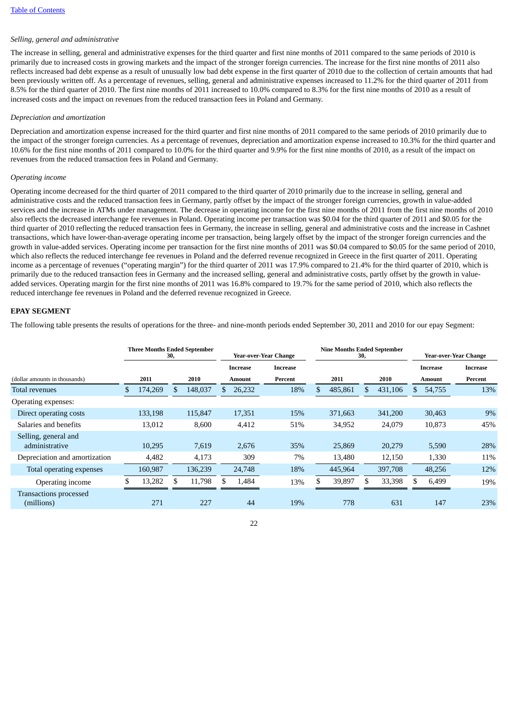#### *Selling, general and administrative*

The increase in selling, general and administrative expenses for the third quarter and first nine months of 2011 compared to the same periods of 2010 is primarily due to increased costs in growing markets and the impact of the stronger foreign currencies. The increase for the first nine months of 2011 also reflects increased bad debt expense as a result of unusually low bad debt expense in the first quarter of 2010 due to the collection of certain amounts that had been previously written off. As a percentage of revenues, selling, general and administrative expenses increased to 11.2% for the third quarter of 2011 from 8.5% for the third quarter of 2010. The first nine months of 2011 increased to 10.0% compared to 8.3% for the first nine months of 2010 as a result of increased costs and the impact on revenues from the reduced transaction fees in Poland and Germany.

#### *Depreciation and amortization*

Depreciation and amortization expense increased for the third quarter and first nine months of 2011 compared to the same periods of 2010 primarily due to the impact of the stronger foreign currencies. As a percentage of revenues, depreciation and amortization expense increased to 10.3% for the third quarter and 10.6% for the first nine months of 2011 compared to 10.0% for the third quarter and 9.9% for the first nine months of 2010, as a result of the impact on revenues from the reduced transaction fees in Poland and Germany.

#### *Operating income*

Operating income decreased for the third quarter of 2011 compared to the third quarter of 2010 primarily due to the increase in selling, general and administrative costs and the reduced transaction fees in Germany, partly offset by the impact of the stronger foreign currencies, growth in value-added services and the increase in ATMs under management. The decrease in operating income for the first nine months of 2011 from the first nine months of 2010 also reflects the decreased interchange fee revenues in Poland. Operating income per transaction was \$0.04 for the third quarter of 2011 and \$0.05 for the third quarter of 2010 reflecting the reduced transaction fees in Germany, the increase in selling, general and administrative costs and the increase in Cashnet transactions, which have lower-than-average operating income per transaction, being largely offset by the impact of the stronger foreign currencies and the growth in value-added services. Operating income per transaction for the first nine months of 2011 was \$0.04 compared to \$0.05 for the same period of 2010, which also reflects the reduced interchange fee revenues in Poland and the deferred revenue recognized in Greece in the first quarter of 2011. Operating income as a percentage of revenues ("operating margin") for the third quarter of 2011 was 17.9% compared to 21.4% for the third quarter of 2010, which is primarily due to the reduced transaction fees in Germany and the increased selling, general and administrative costs, partly offset by the growth in valueadded services. Operating margin for the first nine months of 2011 was 16.8% compared to 19.7% for the same period of 2010, which also reflects the reduced interchange fee revenues in Poland and the deferred revenue recognized in Greece.

#### **EPAY SEGMENT**

The following table presents the results of operations for the three- and nine-month periods ended September 30, 2011 and 2010 for our epay Segment:

|                                             | <b>Three Months Ended September</b><br>30, |         |     |         |    | <b>Year-over-Year Change</b> |                 | <b>Nine Months Ended September</b> | 30, |         |    |          | <b>Year-over-Year Change</b> |
|---------------------------------------------|--------------------------------------------|---------|-----|---------|----|------------------------------|-----------------|------------------------------------|-----|---------|----|----------|------------------------------|
|                                             |                                            |         |     |         |    | <b>Increase</b>              | <b>Increase</b> |                                    |     |         |    | Increase | <b>Increase</b>              |
| (dollar amounts in thousands)               |                                            | 2011    |     | 2010    |    | <b>Amount</b>                | Percent         | 2011                               |     | 2010    |    | Amount   | Percent                      |
| Total revenues                              |                                            | 174,269 | \$. | 148,037 | S. | 26,232                       | 18%             | \$<br>485,861                      |     | 431,106 | S. | 54,755   | 13%                          |
| Operating expenses:                         |                                            |         |     |         |    |                              |                 |                                    |     |         |    |          |                              |
| Direct operating costs                      |                                            | 133,198 |     | 115,847 |    | 17,351                       | 15%             | 371,663                            |     | 341,200 |    | 30,463   | 9%                           |
| Salaries and benefits                       |                                            | 13,012  |     | 8,600   |    | 4,412                        | 51%             | 34,952                             |     | 24,079  |    | 10,873   | 45%                          |
| Selling, general and<br>administrative      |                                            | 10,295  |     | 7,619   |    | 2,676                        | 35%             | 25,869                             |     | 20,279  |    | 5,590    | 28%                          |
| Depreciation and amortization               |                                            | 4,482   |     | 4,173   |    | 309                          | 7%              | 13,480                             |     | 12,150  |    | 1,330    | 11%                          |
| Total operating expenses                    |                                            | 160,987 |     | 136,239 |    | 24,748                       | 18%             | 445,964                            |     | 397,708 |    | 48,256   | 12%                          |
| Operating income                            |                                            | 13,282  |     | 11,798  |    | 1,484                        | 13%             | 39,897                             |     | 33,398  |    | 6,499    | 19%                          |
| <b>Transactions processed</b><br>(millions) |                                            | 271     |     | 227     |    | 44                           | 19%             | 778                                |     | 631     |    | 147      | 23%                          |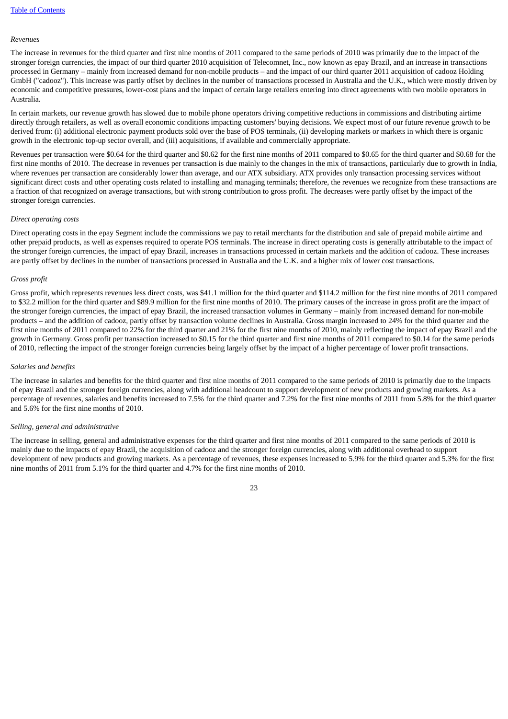#### *Revenues*

The increase in revenues for the third quarter and first nine months of 2011 compared to the same periods of 2010 was primarily due to the impact of the stronger foreign currencies, the impact of our third quarter 2010 acquisition of Telecomnet, Inc., now known as epay Brazil, and an increase in transactions processed in Germany – mainly from increased demand for non-mobile products – and the impact of our third quarter 2011 acquisition of cadooz Holding GmbH ("cadooz"). This increase was partly offset by declines in the number of transactions processed in Australia and the U.K., which were mostly driven by economic and competitive pressures, lower-cost plans and the impact of certain large retailers entering into direct agreements with two mobile operators in Australia.

In certain markets, our revenue growth has slowed due to mobile phone operators driving competitive reductions in commissions and distributing airtime directly through retailers, as well as overall economic conditions impacting customers' buying decisions. We expect most of our future revenue growth to be derived from: (i) additional electronic payment products sold over the base of POS terminals, (ii) developing markets or markets in which there is organic growth in the electronic top-up sector overall, and (iii) acquisitions, if available and commercially appropriate.

Revenues per transaction were \$0.64 for the third quarter and \$0.62 for the first nine months of 2011 compared to \$0.65 for the third quarter and \$0.68 for the first nine months of 2010. The decrease in revenues per transaction is due mainly to the changes in the mix of transactions, particularly due to growth in India, where revenues per transaction are considerably lower than average, and our ATX subsidiary. ATX provides only transaction processing services without significant direct costs and other operating costs related to installing and managing terminals; therefore, the revenues we recognize from these transactions are a fraction of that recognized on average transactions, but with strong contribution to gross profit. The decreases were partly offset by the impact of the stronger foreign currencies.

#### *Direct operating costs*

Direct operating costs in the epay Segment include the commissions we pay to retail merchants for the distribution and sale of prepaid mobile airtime and other prepaid products, as well as expenses required to operate POS terminals. The increase in direct operating costs is generally attributable to the impact of the stronger foreign currencies, the impact of epay Brazil, increases in transactions processed in certain markets and the addition of cadooz. These increases are partly offset by declines in the number of transactions processed in Australia and the U.K. and a higher mix of lower cost transactions.

#### *Gross profit*

Gross profit, which represents revenues less direct costs, was \$41.1 million for the third quarter and \$114.2 million for the first nine months of 2011 compared to \$32.2 million for the third quarter and \$89.9 million for the first nine months of 2010. The primary causes of the increase in gross profit are the impact of the stronger foreign currencies, the impact of epay Brazil, the increased transaction volumes in Germany – mainly from increased demand for non-mobile products – and the addition of cadooz, partly offset by transaction volume declines in Australia. Gross margin increased to 24% for the third quarter and the first nine months of 2011 compared to 22% for the third quarter and 21% for the first nine months of 2010, mainly reflecting the impact of epay Brazil and the growth in Germany. Gross profit per transaction increased to \$0.15 for the third quarter and first nine months of 2011 compared to \$0.14 for the same periods of 2010, reflecting the impact of the stronger foreign currencies being largely offset by the impact of a higher percentage of lower profit transactions.

#### *Salaries and benefits*

The increase in salaries and benefits for the third quarter and first nine months of 2011 compared to the same periods of 2010 is primarily due to the impacts of epay Brazil and the stronger foreign currencies, along with additional headcount to support development of new products and growing markets. As a percentage of revenues, salaries and benefits increased to 7.5% for the third quarter and 7.2% for the first nine months of 2011 from 5.8% for the third quarter and 5.6% for the first nine months of 2010.

#### *Selling, general and administrative*

The increase in selling, general and administrative expenses for the third quarter and first nine months of 2011 compared to the same periods of 2010 is mainly due to the impacts of epay Brazil, the acquisition of cadooz and the stronger foreign currencies, along with additional overhead to support development of new products and growing markets. As a percentage of revenues, these expenses increased to 5.9% for the third quarter and 5.3% for the first nine months of 2011 from 5.1% for the third quarter and 4.7% for the first nine months of 2010.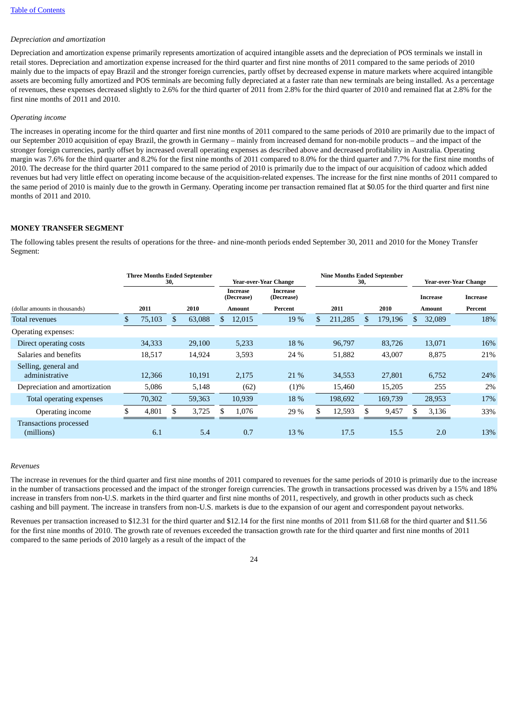#### *Depreciation and amortization*

Depreciation and amortization expense primarily represents amortization of acquired intangible assets and the depreciation of POS terminals we install in retail stores. Depreciation and amortization expense increased for the third quarter and first nine months of 2011 compared to the same periods of 2010 mainly due to the impacts of epay Brazil and the stronger foreign currencies, partly offset by decreased expense in mature markets where acquired intangible assets are becoming fully amortized and POS terminals are becoming fully depreciated at a faster rate than new terminals are being installed. As a percentage of revenues, these expenses decreased slightly to 2.6% for the third quarter of 2011 from 2.8% for the third quarter of 2010 and remained flat at 2.8% for the first nine months of 2011 and 2010.

#### *Operating income*

The increases in operating income for the third quarter and first nine months of 2011 compared to the same periods of 2010 are primarily due to the impact of our September 2010 acquisition of epay Brazil, the growth in Germany – mainly from increased demand for non-mobile products – and the impact of the stronger foreign currencies, partly offset by increased overall operating expenses as described above and decreased profitability in Australia. Operating margin was 7.6% for the third quarter and 8.2% for the first nine months of 2011 compared to 8.0% for the third quarter and 7.7% for the first nine months of 2010. The decrease for the third quarter 2011 compared to the same period of 2010 is primarily due to the impact of our acquisition of cadooz which added revenues but had very little effect on operating income because of the acquisition-related expenses. The increase for the first nine months of 2011 compared to the same period of 2010 is mainly due to the growth in Germany. Operating income per transaction remained flat at \$0.05 for the third quarter and first nine months of 2011 and 2010.

#### **MONEY TRANSFER SEGMENT**

The following tables present the results of operations for the three- and nine-month periods ended September 30, 2011 and 2010 for the Money Transfer Segment:

|                                             | <b>Three Months Ended September</b><br>30, |        |   |        |     | <b>Year-over-Year Change</b> |                        | <b>Nine Months Ended September</b> | 30, |         |     |          | <b>Year-over-Year Change</b> |
|---------------------------------------------|--------------------------------------------|--------|---|--------|-----|------------------------------|------------------------|------------------------------------|-----|---------|-----|----------|------------------------------|
|                                             |                                            |        |   |        |     | Increase<br>(Decrease)       | Increase<br>(Decrease) |                                    |     |         |     | Increase | <b>Increase</b>              |
| (dollar amounts in thousands)               |                                            | 2011   |   | 2010   |     | Amount                       | Percent                | 2011                               |     | 2010    |     | Amount   | Percent                      |
| Total revenues                              |                                            | 75,103 | S | 63,088 | \$. | 12,015                       | 19 %                   | \$<br>211,285                      | \$. | 179,196 | SS. | 32,089   | 18%                          |
| Operating expenses:                         |                                            |        |   |        |     |                              |                        |                                    |     |         |     |          |                              |
| Direct operating costs                      |                                            | 34,333 |   | 29,100 |     | 5,233                        | 18 %                   | 96,797                             |     | 83,726  |     | 13,071   | 16%                          |
| Salaries and benefits                       |                                            | 18,517 |   | 14,924 |     | 3,593                        | 24 %                   | 51,882                             |     | 43,007  |     | 8,875    | 21%                          |
| Selling, general and<br>administrative      |                                            | 12,366 |   | 10,191 |     | 2,175                        | 21 %                   | 34,553                             |     | 27,801  |     | 6,752    | 24%                          |
| Depreciation and amortization               |                                            | 5,086  |   | 5,148  |     | (62)                         | (1)%                   | 15,460                             |     | 15,205  |     | 255      | 2%                           |
| Total operating expenses                    |                                            | 70,302 |   | 59,363 |     | 10,939                       | 18 %                   | 198,692                            |     | 169,739 |     | 28,953   | 17%                          |
| Operating income                            |                                            | 4,801  |   | 3,725  |     | 1,076                        | 29 %                   | 12,593                             |     | 9,457   |     | 3,136    | 33%                          |
| <b>Transactions processed</b><br>(millions) |                                            | 6.1    |   | 5.4    |     | 0.7                          | 13 %                   | 17.5                               |     | 15.5    |     | 2.0      | 13%                          |

#### *Revenues*

The increase in revenues for the third quarter and first nine months of 2011 compared to revenues for the same periods of 2010 is primarily due to the increase in the number of transactions processed and the impact of the stronger foreign currencies. The growth in transactions processed was driven by a 15% and 18% increase in transfers from non-U.S. markets in the third quarter and first nine months of 2011, respectively, and growth in other products such as check cashing and bill payment. The increase in transfers from non-U.S. markets is due to the expansion of our agent and correspondent payout networks.

Revenues per transaction increased to \$12.31 for the third quarter and \$12.14 for the first nine months of 2011 from \$11.68 for the third quarter and \$11.56 for the first nine months of 2010. The growth rate of revenues exceeded the transaction growth rate for the third quarter and first nine months of 2011 compared to the same periods of 2010 largely as a result of the impact of the

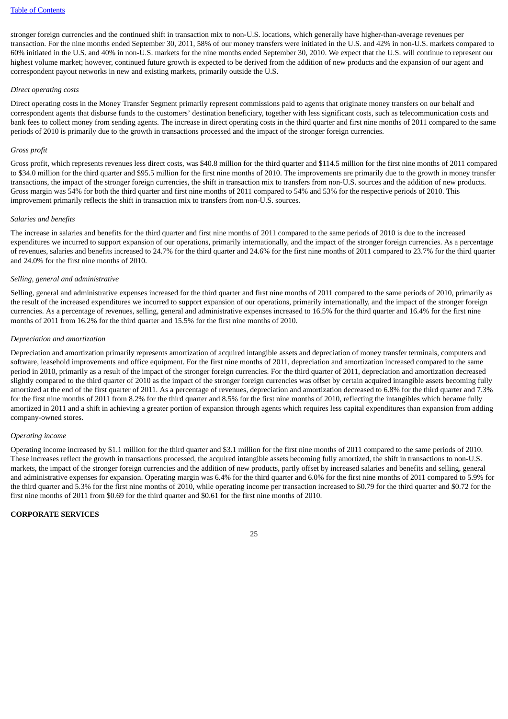stronger foreign currencies and the continued shift in transaction mix to non-U.S. locations, which generally have higher-than-average revenues per transaction. For the nine months ended September 30, 2011, 58% of our money transfers were initiated in the U.S. and 42% in non-U.S. markets compared to 60% initiated in the U.S. and 40% in non-U.S. markets for the nine months ended September 30, 2010. We expect that the U.S. will continue to represent our highest volume market; however, continued future growth is expected to be derived from the addition of new products and the expansion of our agent and correspondent payout networks in new and existing markets, primarily outside the U.S.

#### *Direct operating costs*

Direct operating costs in the Money Transfer Segment primarily represent commissions paid to agents that originate money transfers on our behalf and correspondent agents that disburse funds to the customers' destination beneficiary, together with less significant costs, such as telecommunication costs and bank fees to collect money from sending agents. The increase in direct operating costs in the third quarter and first nine months of 2011 compared to the same periods of 2010 is primarily due to the growth in transactions processed and the impact of the stronger foreign currencies.

#### *Gross profit*

Gross profit, which represents revenues less direct costs, was \$40.8 million for the third quarter and \$114.5 million for the first nine months of 2011 compared to \$34.0 million for the third quarter and \$95.5 million for the first nine months of 2010. The improvements are primarily due to the growth in money transfer transactions, the impact of the stronger foreign currencies, the shift in transaction mix to transfers from non-U.S. sources and the addition of new products. Gross margin was 54% for both the third quarter and first nine months of 2011 compared to 54% and 53% for the respective periods of 2010. This improvement primarily reflects the shift in transaction mix to transfers from non-U.S. sources.

#### *Salaries and benefits*

The increase in salaries and benefits for the third quarter and first nine months of 2011 compared to the same periods of 2010 is due to the increased expenditures we incurred to support expansion of our operations, primarily internationally, and the impact of the stronger foreign currencies. As a percentage of revenues, salaries and benefits increased to 24.7% for the third quarter and 24.6% for the first nine months of 2011 compared to 23.7% for the third quarter and 24.0% for the first nine months of 2010.

#### *Selling, general and administrative*

Selling, general and administrative expenses increased for the third quarter and first nine months of 2011 compared to the same periods of 2010, primarily as the result of the increased expenditures we incurred to support expansion of our operations, primarily internationally, and the impact of the stronger foreign currencies. As a percentage of revenues, selling, general and administrative expenses increased to 16.5% for the third quarter and 16.4% for the first nine months of 2011 from 16.2% for the third quarter and 15.5% for the first nine months of 2010.

#### *Depreciation and amortization*

Depreciation and amortization primarily represents amortization of acquired intangible assets and depreciation of money transfer terminals, computers and software, leasehold improvements and office equipment. For the first nine months of 2011, depreciation and amortization increased compared to the same period in 2010, primarily as a result of the impact of the stronger foreign currencies. For the third quarter of 2011, depreciation and amortization decreased slightly compared to the third quarter of 2010 as the impact of the stronger foreign currencies was offset by certain acquired intangible assets becoming fully amortized at the end of the first quarter of 2011. As a percentage of revenues, depreciation and amortization decreased to 6.8% for the third quarter and 7.3% for the first nine months of 2011 from 8.2% for the third quarter and 8.5% for the first nine months of 2010, reflecting the intangibles which became fully amortized in 2011 and a shift in achieving a greater portion of expansion through agents which requires less capital expenditures than expansion from adding company-owned stores.

#### *Operating income*

Operating income increased by \$1.1 million for the third quarter and \$3.1 million for the first nine months of 2011 compared to the same periods of 2010. These increases reflect the growth in transactions processed, the acquired intangible assets becoming fully amortized, the shift in transactions to non-U.S. markets, the impact of the stronger foreign currencies and the addition of new products, partly offset by increased salaries and benefits and selling, general and administrative expenses for expansion. Operating margin was 6.4% for the third quarter and 6.0% for the first nine months of 2011 compared to 5.9% for the third quarter and 5.3% for the first nine months of 2010, while operating income per transaction increased to \$0.79 for the third quarter and \$0.72 for the first nine months of 2011 from \$0.69 for the third quarter and \$0.61 for the first nine months of 2010.

#### **CORPORATE SERVICES**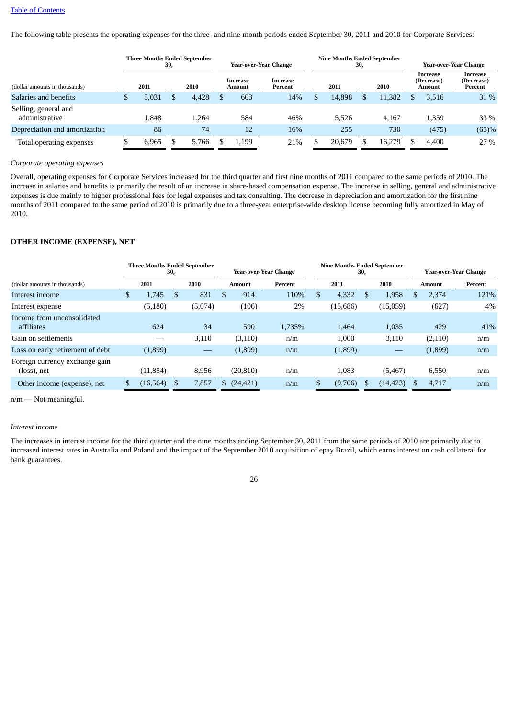The following table presents the operating expenses for the three- and nine-month periods ended September 30, 2011 and 2010 for Corporate Services:

|                                        |                       | 30, | <b>Three Months Ended September</b> |   |                    | <b>Year-over-Year Change</b> | <b>Nine Months Ended September</b> | 30, |        |                                  | Year-over-Year Change                    |
|----------------------------------------|-----------------------|-----|-------------------------------------|---|--------------------|------------------------------|------------------------------------|-----|--------|----------------------------------|------------------------------------------|
| (dollar amounts in thousands)          | 2011<br>2010<br>5,031 |     |                                     |   | Increase<br>Amount | <b>Increase</b><br>Percent   | 2011                               |     | 2010   | Increase<br>(Decrease)<br>Amount | <b>Increase</b><br>(Decrease)<br>Percent |
| Salaries and benefits                  |                       |     | 4.428                               | S | 603                | 14%                          | 14.898                             | S   | 11.382 | 3.516                            | 31 %                                     |
| Selling, general and<br>administrative | 1.848                 |     | L.264                               |   | 584                | 46%                          | 5,526                              |     | 4.167  | 1.359                            | <b>33</b> %                              |
| Depreciation and amortization          | 86                    |     | 74                                  |   | 12                 | 16%                          | 255                                |     | 730    | (475)                            | (65)%                                    |
| Total operating expenses               | 6.965                 |     | 5.766                               |   | .199               | 21%                          | 20.679                             |     | 16.279 | 4.400                            | 27%                                      |

## *Corporate operating expenses*

Overall, operating expenses for Corporate Services increased for the third quarter and first nine months of 2011 compared to the same periods of 2010. The increase in salaries and benefits is primarily the result of an increase in share-based compensation expense. The increase in selling, general and administrative expenses is due mainly to higher professional fees for legal expenses and tax consulting. The decrease in depreciation and amortization for the first nine months of 2011 compared to the same period of 2010 is primarily due to a three-year enterprise-wide desktop license becoming fully amortized in May of 2010.

#### **OTHER INCOME (EXPENSE), NET**

|                                               | <b>Three Months Ended September</b><br>30,<br>2010<br>2011 |           |   |         |               | Year-over-Year Change | <b>Nine Months Ended September</b> | 30, |           | <b>Year-over-Year Change</b> |         |
|-----------------------------------------------|------------------------------------------------------------|-----------|---|---------|---------------|-----------------------|------------------------------------|-----|-----------|------------------------------|---------|
| (dollar amounts in thousands)                 |                                                            |           |   |         | <b>Amount</b> | Percent               | 2011                               |     | 2010      | Amount                       | Percent |
| Interest income                               | $\mathbf{S}$                                               | 1,745     | S | 831     | \$<br>914     | 110%                  | \$<br>4,332                        |     | 1,958     | 2,374                        | 121%    |
| Interest expense                              |                                                            | (5, 180)  |   | (5,074) | (106)         | 2%                    | (15,686)                           |     | (15,059)  | (627)                        | 4%      |
| Income from unconsolidated<br>affiliates      |                                                            | 624       |   | 34      | 590           | 1.735%                | 1.464                              |     | 1,035     | 429                          | 41%     |
| Gain on settlements                           |                                                            |           |   | 3,110   | (3, 110)      | n/m                   | 1,000                              |     | 3,110     | (2,110)                      | n/m     |
| Loss on early retirement of debt              |                                                            | (1,899)   |   |         | (1,899)       | n/m                   | (1,899)                            |     |           | (1,899)                      | n/m     |
| Foreign currency exchange gain<br>(loss), net |                                                            | (11, 854) |   | 8,956   | (20, 810)     | n/m                   | 1,083                              |     | (5, 467)  | 6,550                        | n/m     |
| Other income (expense), net                   |                                                            | (16, 564) |   | 7,857   | \$(24, 421)   | n/m                   | (9,706)                            |     | (14, 423) | 4.717                        | n/m     |

n/m — Not meaningful.

#### *Interest income*

The increases in interest income for the third quarter and the nine months ending September 30, 2011 from the same periods of 2010 are primarily due to increased interest rates in Australia and Poland and the impact of the September 2010 acquisition of epay Brazil, which earns interest on cash collateral for bank guarantees.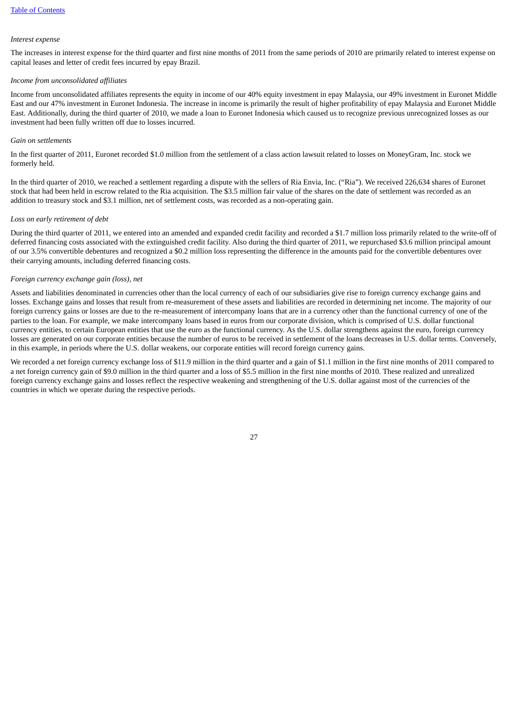#### *Interest expense*

The increases in interest expense for the third quarter and first nine months of 2011 from the same periods of 2010 are primarily related to interest expense on capital leases and letter of credit fees incurred by epay Brazil.

#### *Income from unconsolidated affiliates*

Income from unconsolidated affiliates represents the equity in income of our 40% equity investment in epay Malaysia, our 49% investment in Euronet Middle East and our 47% investment in Euronet Indonesia. The increase in income is primarily the result of higher profitability of epay Malaysia and Euronet Middle East. Additionally, during the third quarter of 2010, we made a loan to Euronet Indonesia which caused us to recognize previous unrecognized losses as our investment had been fully written off due to losses incurred.

#### *Gain on settlements*

In the first quarter of 2011, Euronet recorded \$1.0 million from the settlement of a class action lawsuit related to losses on MoneyGram, Inc. stock we formerly held.

In the third quarter of 2010, we reached a settlement regarding a dispute with the sellers of Ria Envia, Inc. ("Ria"). We received 226,634 shares of Euronet stock that had been held in escrow related to the Ria acquisition. The \$3.5 million fair value of the shares on the date of settlement was recorded as an addition to treasury stock and \$3.1 million, net of settlement costs, was recorded as a non-operating gain.

#### *Loss on early retirement of debt*

During the third quarter of 2011, we entered into an amended and expanded credit facility and recorded a \$1.7 million loss primarily related to the write-off of deferred financing costs associated with the extinguished credit facility. Also during the third quarter of 2011, we repurchased \$3.6 million principal amount of our 3.5% convertible debentures and recognized a \$0.2 million loss representing the difference in the amounts paid for the convertible debentures over their carrying amounts, including deferred financing costs.

#### *Foreign currency exchange gain (loss), net*

Assets and liabilities denominated in currencies other than the local currency of each of our subsidiaries give rise to foreign currency exchange gains and losses. Exchange gains and losses that result from re-measurement of these assets and liabilities are recorded in determining net income. The majority of our foreign currency gains or losses are due to the re-measurement of intercompany loans that are in a currency other than the functional currency of one of the parties to the loan. For example, we make intercompany loans based in euros from our corporate division, which is comprised of U.S. dollar functional currency entities, to certain European entities that use the euro as the functional currency. As the U.S. dollar strengthens against the euro, foreign currency losses are generated on our corporate entities because the number of euros to be received in settlement of the loans decreases in U.S. dollar terms. Conversely, in this example, in periods where the U.S. dollar weakens, our corporate entities will record foreign currency gains.

We recorded a net foreign currency exchange loss of \$11.9 million in the third quarter and a gain of \$1.1 million in the first nine months of 2011 compared to a net foreign currency gain of \$9.0 million in the third quarter and a loss of \$5.5 million in the first nine months of 2010. These realized and unrealized foreign currency exchange gains and losses reflect the respective weakening and strengthening of the U.S. dollar against most of the currencies of the countries in which we operate during the respective periods.

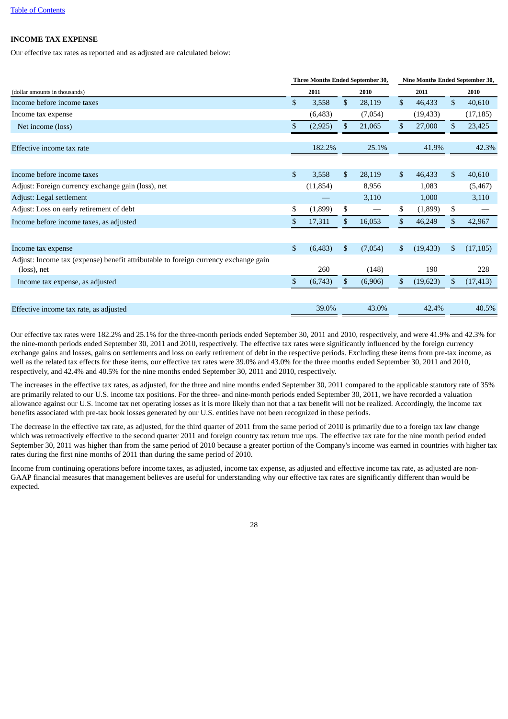#### **INCOME TAX EXPENSE**

Our effective tax rates as reported and as adjusted are calculated below:

|                                                                                                    |              | Three Months Ended September 30, |    | Nine Months Ended September 30, |    |           |              |           |  |
|----------------------------------------------------------------------------------------------------|--------------|----------------------------------|----|---------------------------------|----|-----------|--------------|-----------|--|
| (dollar amounts in thousands)                                                                      |              | 2011                             |    | 2010                            |    | 2011      |              | 2010      |  |
| Income before income taxes                                                                         | $\mathbb{S}$ | 3,558                            | \$ | 28,119                          | \$ | 46,433    | $\mathbb{S}$ | 40,610    |  |
| Income tax expense                                                                                 |              | (6,483)                          |    | (7,054)                         |    | (19, 433) |              | (17, 185) |  |
| Net income (loss)                                                                                  | \$           | (2,925)                          | \$ | 21,065                          | \$ | 27,000    | \$           | 23,425    |  |
| Effective income tax rate                                                                          |              | 182.2%                           |    | 25.1%                           |    | 41.9%     |              | 42.3%     |  |
| Income before income taxes                                                                         | $\mathbb{S}$ | 3,558                            | \$ | 28,119                          | \$ | 46,433    | \$           | 40,610    |  |
| Adjust: Foreign currency exchange gain (loss), net                                                 |              | (11, 854)                        |    | 8,956                           |    | 1,083     |              | (5, 467)  |  |
| Adjust: Legal settlement                                                                           |              |                                  |    | 3,110                           |    | 1,000     |              | 3,110     |  |
| Adjust: Loss on early retirement of debt                                                           | \$           | (1,899)                          | \$ |                                 | \$ | (1,899)   | \$           |           |  |
| Income before income taxes, as adjusted                                                            |              | 17,311                           | \$ | 16,053                          | \$ | 46,249    | \$           | 42,967    |  |
|                                                                                                    |              |                                  |    |                                 |    |           |              |           |  |
| Income tax expense                                                                                 | \$           | (6, 483)                         | \$ | (7,054)                         | \$ | (19, 433) | \$.          | (17, 185) |  |
| Adjust: Income tax (expense) benefit attributable to foreign currency exchange gain<br>(loss), net |              | 260                              |    | (148)                           |    | 190       |              | 228       |  |
| Income tax expense, as adjusted                                                                    | \$           | (6,743)                          | \$ | (6,906)                         | \$ | (19,623)  | \$           | (17, 413) |  |
|                                                                                                    |              |                                  |    |                                 |    |           |              |           |  |
| Effective income tax rate, as adjusted                                                             |              | 39.0%                            |    | 43.0%                           |    | 42.4%     |              | 40.5%     |  |

Our effective tax rates were 182.2% and 25.1% for the three-month periods ended September 30, 2011 and 2010, respectively, and were 41.9% and 42.3% for the nine-month periods ended September 30, 2011 and 2010, respectively. The effective tax rates were significantly influenced by the foreign currency exchange gains and losses, gains on settlements and loss on early retirement of debt in the respective periods. Excluding these items from pre-tax income, as well as the related tax effects for these items, our effective tax rates were 39.0% and 43.0% for the three months ended September 30, 2011 and 2010, respectively, and 42.4% and 40.5% for the nine months ended September 30, 2011 and 2010, respectively.

The increases in the effective tax rates, as adjusted, for the three and nine months ended September 30, 2011 compared to the applicable statutory rate of 35% are primarily related to our U.S. income tax positions. For the three- and nine-month periods ended September 30, 2011, we have recorded a valuation allowance against our U.S. income tax net operating losses as it is more likely than not that a tax benefit will not be realized. Accordingly, the income tax benefits associated with pre-tax book losses generated by our U.S. entities have not been recognized in these periods.

The decrease in the effective tax rate, as adjusted, for the third quarter of 2011 from the same period of 2010 is primarily due to a foreign tax law change which was retroactively effective to the second quarter 2011 and foreign country tax return true ups. The effective tax rate for the nine month period ended September 30, 2011 was higher than from the same period of 2010 because a greater portion of the Company's income was earned in countries with higher tax rates during the first nine months of 2011 than during the same period of 2010.

Income from continuing operations before income taxes, as adjusted, income tax expense, as adjusted and effective income tax rate, as adjusted are non-GAAP financial measures that management believes are useful for understanding why our effective tax rates are significantly different than would be expected.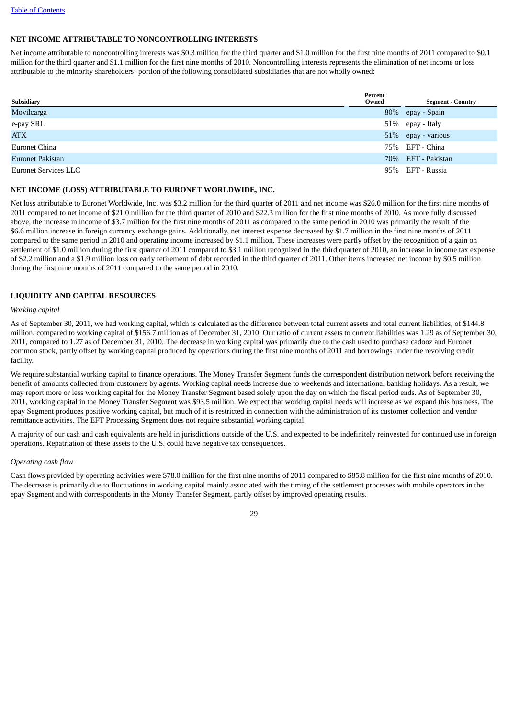## **NET INCOME ATTRIBUTABLE TO NONCONTROLLING INTERESTS**

Net income attributable to noncontrolling interests was \$0.3 million for the third quarter and \$1.0 million for the first nine months of 2011 compared to \$0.1 million for the third quarter and \$1.1 million for the first nine months of 2010. Noncontrolling interests represents the elimination of net income or loss attributable to the minority shareholders' portion of the following consolidated subsidiaries that are not wholly owned:

| Subsidiary              | Percent<br>Owned | <b>Segment - Country</b> |
|-------------------------|------------------|--------------------------|
| Movilcarga              |                  | 80% epay - Spain         |
| e-pay SRL               |                  | 51% epay - Italy         |
| <b>ATX</b>              |                  | 51% epay - various       |
| Euronet China           |                  | 75% EFT - China          |
| <b>Euronet Pakistan</b> |                  | 70% EFT - Pakistan       |
| Euronet Services LLC    |                  | 95% EFT - Russia         |

## **NET INCOME (LOSS) ATTRIBUTABLE TO EURONET WORLDWIDE, INC.**

Net loss attributable to Euronet Worldwide, Inc. was \$3.2 million for the third quarter of 2011 and net income was \$26.0 million for the first nine months of 2011 compared to net income of \$21.0 million for the third quarter of 2010 and \$22.3 million for the first nine months of 2010. As more fully discussed above, the increase in income of \$3.7 million for the first nine months of 2011 as compared to the same period in 2010 was primarily the result of the \$6.6 million increase in foreign currency exchange gains. Additionally, net interest expense decreased by \$1.7 million in the first nine months of 2011 compared to the same period in 2010 and operating income increased by \$1.1 million. These increases were partly offset by the recognition of a gain on settlement of \$1.0 million during the first quarter of 2011 compared to \$3.1 million recognized in the third quarter of 2010, an increase in income tax expense of \$2.2 million and a \$1.9 million loss on early retirement of debt recorded in the third quarter of 2011. Other items increased net income by \$0.5 million during the first nine months of 2011 compared to the same period in 2010.

## **LIQUIDITY AND CAPITAL RESOURCES**

## *Working capital*

As of September 30, 2011, we had working capital, which is calculated as the difference between total current assets and total current liabilities, of \$144.8 million, compared to working capital of \$156.7 million as of December 31, 2010. Our ratio of current assets to current liabilities was 1.29 as of September 30, 2011, compared to 1.27 as of December 31, 2010. The decrease in working capital was primarily due to the cash used to purchase cadooz and Euronet common stock, partly offset by working capital produced by operations during the first nine months of 2011 and borrowings under the revolving credit facility.

We require substantial working capital to finance operations. The Money Transfer Segment funds the correspondent distribution network before receiving the benefit of amounts collected from customers by agents. Working capital needs increase due to weekends and international banking holidays. As a result, we may report more or less working capital for the Money Transfer Segment based solely upon the day on which the fiscal period ends. As of September 30, 2011, working capital in the Money Transfer Segment was \$93.5 million. We expect that working capital needs will increase as we expand this business. The epay Segment produces positive working capital, but much of it is restricted in connection with the administration of its customer collection and vendor remittance activities. The EFT Processing Segment does not require substantial working capital.

A majority of our cash and cash equivalents are held in jurisdictions outside of the U.S. and expected to be indefinitely reinvested for continued use in foreign operations. Repatriation of these assets to the U.S. could have negative tax consequences.

## *Operating cash flow*

Cash flows provided by operating activities were \$78.0 million for the first nine months of 2011 compared to \$85.8 million for the first nine months of 2010. The decrease is primarily due to fluctuations in working capital mainly associated with the timing of the settlement processes with mobile operators in the epay Segment and with correspondents in the Money Transfer Segment, partly offset by improved operating results.

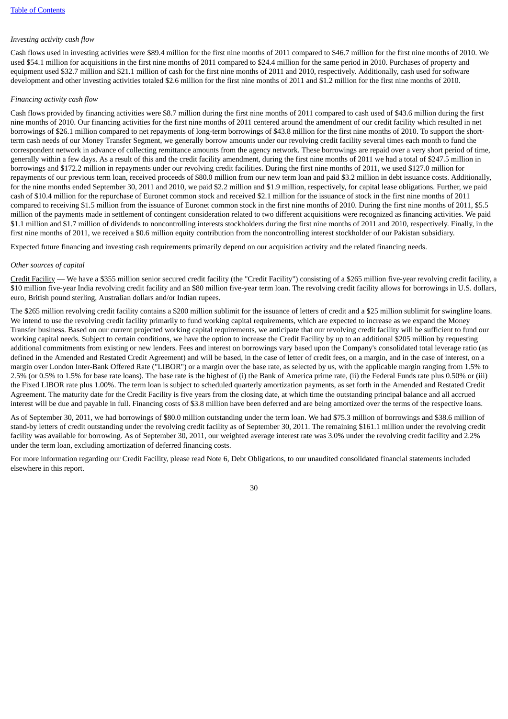## *Investing activity cash flow*

Cash flows used in investing activities were \$89.4 million for the first nine months of 2011 compared to \$46.7 million for the first nine months of 2010. We used \$54.1 million for acquisitions in the first nine months of 2011 compared to \$24.4 million for the same period in 2010. Purchases of property and equipment used \$32.7 million and \$21.1 million of cash for the first nine months of 2011 and 2010, respectively. Additionally, cash used for software development and other investing activities totaled \$2.6 million for the first nine months of 2011 and \$1.2 million for the first nine months of 2010.

#### *Financing activity cash flow*

Cash flows provided by financing activities were \$8.7 million during the first nine months of 2011 compared to cash used of \$43.6 million during the first nine months of 2010. Our financing activities for the first nine months of 2011 centered around the amendment of our credit facility which resulted in net borrowings of \$26.1 million compared to net repayments of long-term borrowings of \$43.8 million for the first nine months of 2010. To support the shortterm cash needs of our Money Transfer Segment, we generally borrow amounts under our revolving credit facility several times each month to fund the correspondent network in advance of collecting remittance amounts from the agency network. These borrowings are repaid over a very short period of time, generally within a few days. As a result of this and the credit facility amendment, during the first nine months of 2011 we had a total of \$247.5 million in borrowings and \$172.2 million in repayments under our revolving credit facilities. During the first nine months of 2011, we used \$127.0 million for repayments of our previous term loan, received proceeds of \$80.0 million from our new term loan and paid \$3.2 million in debt issuance costs. Additionally, for the nine months ended September 30, 2011 and 2010, we paid \$2.2 million and \$1.9 million, respectively, for capital lease obligations. Further, we paid cash of \$10.4 million for the repurchase of Euronet common stock and received \$2.1 million for the issuance of stock in the first nine months of 2011 compared to receiving \$1.5 million from the issuance of Euronet common stock in the first nine months of 2010. During the first nine months of 2011, \$5.5 million of the payments made in settlement of contingent consideration related to two different acquisitions were recognized as financing activities. We paid \$1.1 million and \$1.7 million of dividends to noncontrolling interests stockholders during the first nine months of 2011 and 2010, respectively. Finally, in the first nine months of 2011, we received a \$0.6 million equity contribution from the noncontrolling interest stockholder of our Pakistan subsidiary.

Expected future financing and investing cash requirements primarily depend on our acquisition activity and the related financing needs.

#### *Other sources of capital*

Credit Facility — We have a \$355 million senior secured credit facility (the "Credit Facility") consisting of a \$265 million five-year revolving credit facility, a \$10 million five-year India revolving credit facility and an \$80 million five-year term loan. The revolving credit facility allows for borrowings in U.S. dollars, euro, British pound sterling, Australian dollars and/or Indian rupees.

The \$265 million revolving credit facility contains a \$200 million sublimit for the issuance of letters of credit and a \$25 million sublimit for swingline loans. We intend to use the revolving credit facility primarily to fund working capital requirements, which are expected to increase as we expand the Money Transfer business. Based on our current projected working capital requirements, we anticipate that our revolving credit facility will be sufficient to fund our working capital needs. Subject to certain conditions, we have the option to increase the Credit Facility by up to an additional \$205 million by requesting additional commitments from existing or new lenders. Fees and interest on borrowings vary based upon the Company's consolidated total leverage ratio (as defined in the Amended and Restated Credit Agreement) and will be based, in the case of letter of credit fees, on a margin, and in the case of interest, on a margin over London Inter-Bank Offered Rate ("LIBOR") or a margin over the base rate, as selected by us, with the applicable margin ranging from 1.5% to 2.5% (or 0.5% to 1.5% for base rate loans). The base rate is the highest of (i) the Bank of America prime rate, (ii) the Federal Funds rate plus 0.50% or (iii) the Fixed LIBOR rate plus 1.00%. The term loan is subject to scheduled quarterly amortization payments, as set forth in the Amended and Restated Credit Agreement. The maturity date for the Credit Facility is five years from the closing date, at which time the outstanding principal balance and all accrued interest will be due and payable in full. Financing costs of \$3.8 million have been deferred and are being amortized over the terms of the respective loans.

As of September 30, 2011, we had borrowings of \$80.0 million outstanding under the term loan. We had \$75.3 million of borrowings and \$38.6 million of stand-by letters of credit outstanding under the revolving credit facility as of September 30, 2011. The remaining \$161.1 million under the revolving credit facility was available for borrowing. As of September 30, 2011, our weighted average interest rate was 3.0% under the revolving credit facility and 2.2% under the term loan, excluding amortization of deferred financing costs.

For more information regarding our Credit Facility, please read Note 6, Debt Obligations, to our unaudited consolidated financial statements included elsewhere in this report.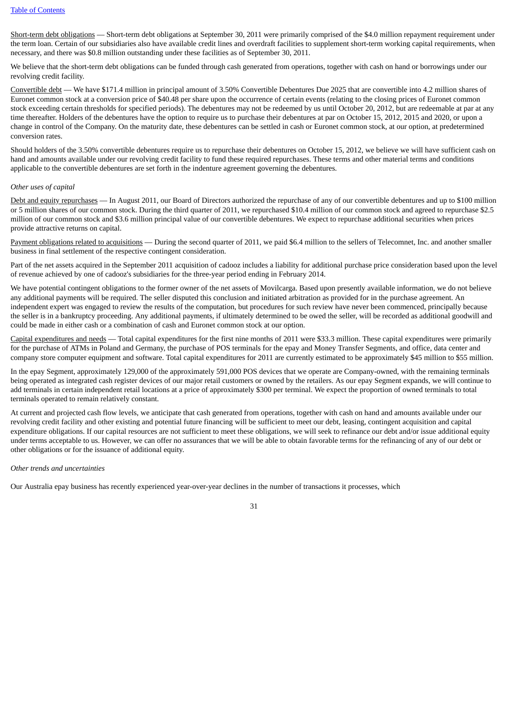Short-term debt obligations — Short-term debt obligations at September 30, 2011 were primarily comprised of the \$4.0 million repayment requirement under the term loan. Certain of our subsidiaries also have available credit lines and overdraft facilities to supplement short-term working capital requirements, when necessary, and there was \$0.8 million outstanding under these facilities as of September 30, 2011.

We believe that the short-term debt obligations can be funded through cash generated from operations, together with cash on hand or borrowings under our revolving credit facility.

Convertible debt — We have \$171.4 million in principal amount of 3.50% Convertible Debentures Due 2025 that are convertible into 4.2 million shares of Euronet common stock at a conversion price of \$40.48 per share upon the occurrence of certain events (relating to the closing prices of Euronet common stock exceeding certain thresholds for specified periods). The debentures may not be redeemed by us until October 20, 2012, but are redeemable at par at any time thereafter. Holders of the debentures have the option to require us to purchase their debentures at par on October 15, 2012, 2015 and 2020, or upon a change in control of the Company. On the maturity date, these debentures can be settled in cash or Euronet common stock, at our option, at predetermined conversion rates.

Should holders of the 3.50% convertible debentures require us to repurchase their debentures on October 15, 2012, we believe we will have sufficient cash on hand and amounts available under our revolving credit facility to fund these required repurchases. These terms and other material terms and conditions applicable to the convertible debentures are set forth in the indenture agreement governing the debentures.

#### *Other uses of capital*

Debt and equity repurchases — In August 2011, our Board of Directors authorized the repurchase of any of our convertible debentures and up to \$100 million or 5 million shares of our common stock. During the third quarter of 2011, we repurchased \$10.4 million of our common stock and agreed to repurchase \$2.5 million of our common stock and \$3.6 million principal value of our convertible debentures. We expect to repurchase additional securities when prices provide attractive returns on capital.

Payment obligations related to acquisitions — During the second quarter of 2011, we paid \$6.4 million to the sellers of Telecomnet, Inc. and another smaller business in final settlement of the respective contingent consideration.

Part of the net assets acquired in the September 2011 acquisition of cadooz includes a liability for additional purchase price consideration based upon the level of revenue achieved by one of cadooz's subsidiaries for the three-year period ending in February 2014.

We have potential contingent obligations to the former owner of the net assets of Movilcarga. Based upon presently available information, we do not believe any additional payments will be required. The seller disputed this conclusion and initiated arbitration as provided for in the purchase agreement. An independent expert was engaged to review the results of the computation, but procedures for such review have never been commenced, principally because the seller is in a bankruptcy proceeding. Any additional payments, if ultimately determined to be owed the seller, will be recorded as additional goodwill and could be made in either cash or a combination of cash and Euronet common stock at our option.

Capital expenditures and needs — Total capital expenditures for the first nine months of 2011 were \$33.3 million. These capital expenditures were primarily for the purchase of ATMs in Poland and Germany, the purchase of POS terminals for the epay and Money Transfer Segments, and office, data center and company store computer equipment and software. Total capital expenditures for 2011 are currently estimated to be approximately \$45 million to \$55 million.

In the epay Segment, approximately 129,000 of the approximately 591,000 POS devices that we operate are Company-owned, with the remaining terminals being operated as integrated cash register devices of our major retail customers or owned by the retailers. As our epay Segment expands, we will continue to add terminals in certain independent retail locations at a price of approximately \$300 per terminal. We expect the proportion of owned terminals to total terminals operated to remain relatively constant.

At current and projected cash flow levels, we anticipate that cash generated from operations, together with cash on hand and amounts available under our revolving credit facility and other existing and potential future financing will be sufficient to meet our debt, leasing, contingent acquisition and capital expenditure obligations. If our capital resources are not sufficient to meet these obligations, we will seek to refinance our debt and/or issue additional equity under terms acceptable to us. However, we can offer no assurances that we will be able to obtain favorable terms for the refinancing of any of our debt or other obligations or for the issuance of additional equity.

#### *Other trends and uncertainties*

Our Australia epay business has recently experienced year-over-year declines in the number of transactions it processes, which

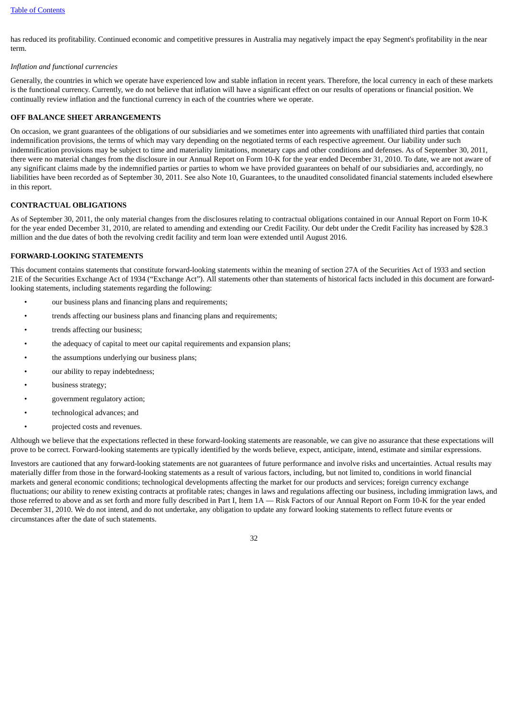has reduced its profitability. Continued economic and competitive pressures in Australia may negatively impact the epay Segment's profitability in the near term.

#### *Inflation and functional currencies*

Generally, the countries in which we operate have experienced low and stable inflation in recent years. Therefore, the local currency in each of these markets is the functional currency. Currently, we do not believe that inflation will have a significant effect on our results of operations or financial position. We continually review inflation and the functional currency in each of the countries where we operate.

#### **OFF BALANCE SHEET ARRANGEMENTS**

On occasion, we grant guarantees of the obligations of our subsidiaries and we sometimes enter into agreements with unaffiliated third parties that contain indemnification provisions, the terms of which may vary depending on the negotiated terms of each respective agreement. Our liability under such indemnification provisions may be subject to time and materiality limitations, monetary caps and other conditions and defenses. As of September 30, 2011, there were no material changes from the disclosure in our Annual Report on Form 10-K for the year ended December 31, 2010. To date, we are not aware of any significant claims made by the indemnified parties or parties to whom we have provided guarantees on behalf of our subsidiaries and, accordingly, no liabilities have been recorded as of September 30, 2011. See also Note 10, Guarantees, to the unaudited consolidated financial statements included elsewhere in this report.

#### **CONTRACTUAL OBLIGATIONS**

As of September 30, 2011, the only material changes from the disclosures relating to contractual obligations contained in our Annual Report on Form 10-K for the year ended December 31, 2010, are related to amending and extending our Credit Facility. Our debt under the Credit Facility has increased by \$28.3 million and the due dates of both the revolving credit facility and term loan were extended until August 2016.

#### **FORWARD-LOOKING STATEMENTS**

This document contains statements that constitute forward-looking statements within the meaning of section 27A of the Securities Act of 1933 and section 21E of the Securities Exchange Act of 1934 ("Exchange Act"). All statements other than statements of historical facts included in this document are forwardlooking statements, including statements regarding the following:

- our business plans and financing plans and requirements;
- trends affecting our business plans and financing plans and requirements;
- trends affecting our business;
- the adequacy of capital to meet our capital requirements and expansion plans;
- the assumptions underlying our business plans;
- our ability to repay indebtedness;
- business strategy;
- government regulatory action;
- technological advances; and
- projected costs and revenues.

Although we believe that the expectations reflected in these forward-looking statements are reasonable, we can give no assurance that these expectations will prove to be correct. Forward-looking statements are typically identified by the words believe, expect, anticipate, intend, estimate and similar expressions.

Investors are cautioned that any forward-looking statements are not guarantees of future performance and involve risks and uncertainties. Actual results may materially differ from those in the forward-looking statements as a result of various factors, including, but not limited to, conditions in world financial markets and general economic conditions; technological developments affecting the market for our products and services; foreign currency exchange fluctuations; our ability to renew existing contracts at profitable rates; changes in laws and regulations affecting our business, including immigration laws, and those referred to above and as set forth and more fully described in Part I, Item 1A — Risk Factors of our Annual Report on Form 10-K for the year ended December 31, 2010. We do not intend, and do not undertake, any obligation to update any forward looking statements to reflect future events or circumstances after the date of such statements.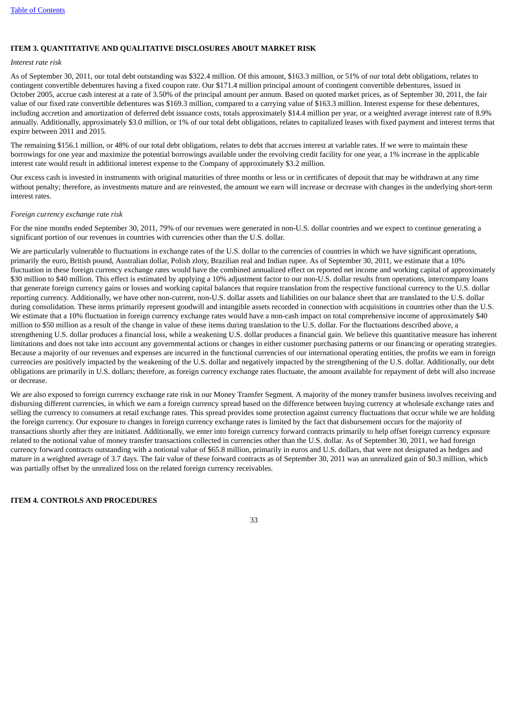## <span id="page-32-0"></span>**ITEM 3. QUANTITATIVE AND QUALITATIVE DISCLOSURES ABOUT MARKET RISK**

## *Interest rate risk*

As of September 30, 2011, our total debt outstanding was \$322.4 million. Of this amount, \$163.3 million, or 51% of our total debt obligations, relates to contingent convertible debentures having a fixed coupon rate. Our \$171.4 million principal amount of contingent convertible debentures, issued in October 2005, accrue cash interest at a rate of 3.50% of the principal amount per annum. Based on quoted market prices, as of September 30, 2011, the fair value of our fixed rate convertible debentures was \$169.3 million, compared to a carrying value of \$163.3 million. Interest expense for these debentures, including accretion and amortization of deferred debt issuance costs, totals approximately \$14.4 million per year, or a weighted average interest rate of 8.9% annually. Additionally, approximately \$3.0 million, or 1% of our total debt obligations, relates to capitalized leases with fixed payment and interest terms that expire between 2011 and 2015.

The remaining \$156.1 million, or 48% of our total debt obligations, relates to debt that accrues interest at variable rates. If we were to maintain these borrowings for one year and maximize the potential borrowings available under the revolving credit facility for one year, a 1% increase in the applicable interest rate would result in additional interest expense to the Company of approximately \$3.2 million.

Our excess cash is invested in instruments with original maturities of three months or less or in certificates of deposit that may be withdrawn at any time without penalty; therefore, as investments mature and are reinvested, the amount we earn will increase or decrease with changes in the underlying short-term interest rates.

#### *Foreign currency exchange rate risk*

For the nine months ended September 30, 2011, 79% of our revenues were generated in non-U.S. dollar countries and we expect to continue generating a significant portion of our revenues in countries with currencies other than the U.S. dollar.

We are particularly vulnerable to fluctuations in exchange rates of the U.S. dollar to the currencies of countries in which we have significant operations, primarily the euro, British pound, Australian dollar, Polish zloty, Brazilian real and Indian rupee. As of September 30, 2011, we estimate that a 10% fluctuation in these foreign currency exchange rates would have the combined annualized effect on reported net income and working capital of approximately \$30 million to \$40 million. This effect is estimated by applying a 10% adjustment factor to our non-U.S. dollar results from operations, intercompany loans that generate foreign currency gains or losses and working capital balances that require translation from the respective functional currency to the U.S. dollar reporting currency. Additionally, we have other non-current, non-U.S. dollar assets and liabilities on our balance sheet that are translated to the U.S. dollar during consolidation. These items primarily represent goodwill and intangible assets recorded in connection with acquisitions in countries other than the U.S. We estimate that a 10% fluctuation in foreign currency exchange rates would have a non-cash impact on total comprehensive income of approximately \$40 million to \$50 million as a result of the change in value of these items during translation to the U.S. dollar. For the fluctuations described above, a strengthening U.S. dollar produces a financial loss, while a weakening U.S. dollar produces a financial gain. We believe this quantitative measure has inherent limitations and does not take into account any governmental actions or changes in either customer purchasing patterns or our financing or operating strategies. Because a majority of our revenues and expenses are incurred in the functional currencies of our international operating entities, the profits we earn in foreign currencies are positively impacted by the weakening of the U.S. dollar and negatively impacted by the strengthening of the U.S. dollar. Additionally, our debt obligations are primarily in U.S. dollars; therefore, as foreign currency exchange rates fluctuate, the amount available for repayment of debt will also increase or decrease.

We are also exposed to foreign currency exchange rate risk in our Money Transfer Segment. A majority of the money transfer business involves receiving and disbursing different currencies, in which we earn a foreign currency spread based on the difference between buying currency at wholesale exchange rates and selling the currency to consumers at retail exchange rates. This spread provides some protection against currency fluctuations that occur while we are holding the foreign currency. Our exposure to changes in foreign currency exchange rates is limited by the fact that disbursement occurs for the majority of transactions shortly after they are initiated. Additionally, we enter into foreign currency forward contracts primarily to help offset foreign currency exposure related to the notional value of money transfer transactions collected in currencies other than the U.S. dollar. As of September 30, 2011, we had foreign currency forward contracts outstanding with a notional value of \$65.8 million, primarily in euros and U.S. dollars, that were not designated as hedges and mature in a weighted average of 3.7 days. The fair value of these forward contracts as of September 30, 2011 was an unrealized gain of \$0.3 million, which was partially offset by the unrealized loss on the related foreign currency receivables.

#### <span id="page-32-1"></span>**ITEM 4. CONTROLS AND PROCEDURES**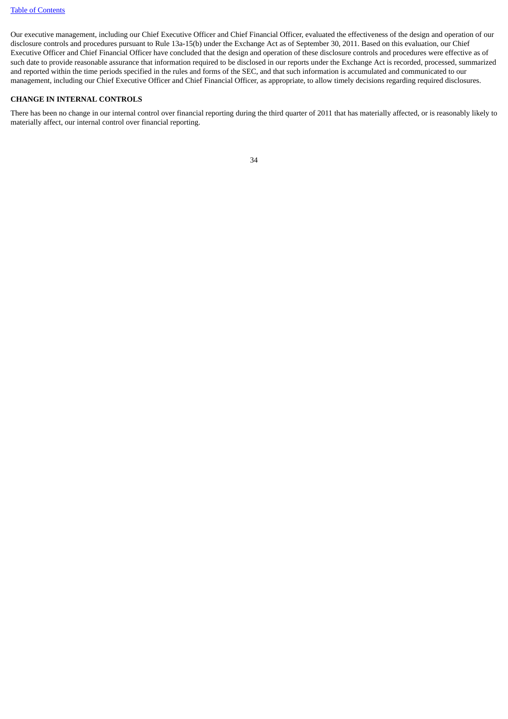Our executive management, including our Chief Executive Officer and Chief Financial Officer, evaluated the effectiveness of the design and operation of our disclosure controls and procedures pursuant to Rule 13a-15(b) under the Exchange Act as of September 30, 2011. Based on this evaluation, our Chief Executive Officer and Chief Financial Officer have concluded that the design and operation of these disclosure controls and procedures were effective as of such date to provide reasonable assurance that information required to be disclosed in our reports under the Exchange Act is recorded, processed, summarized and reported within the time periods specified in the rules and forms of the SEC, and that such information is accumulated and communicated to our management, including our Chief Executive Officer and Chief Financial Officer, as appropriate, to allow timely decisions regarding required disclosures.

## **CHANGE IN INTERNAL CONTROLS**

<span id="page-33-0"></span>There has been no change in our internal control over financial reporting during the third quarter of 2011 that has materially affected, or is reasonably likely to materially affect, our internal control over financial reporting.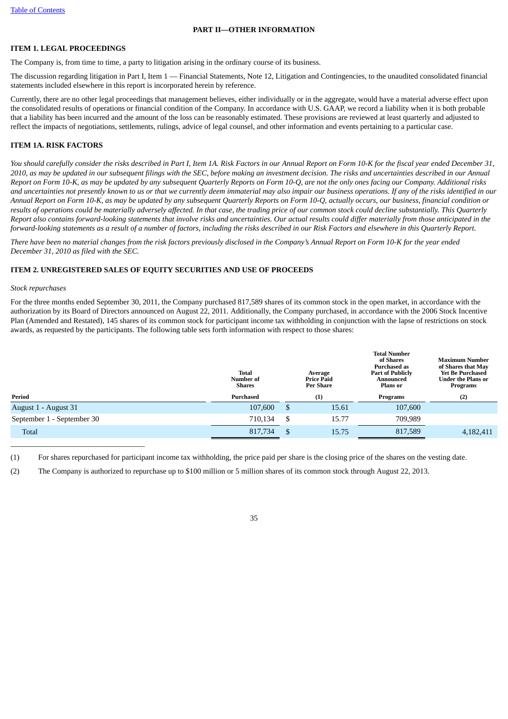#### **PART II—OTHER INFORMATION**

#### <span id="page-34-0"></span>**ITEM 1. LEGAL PROCEEDINGS**

The Company is, from time to time, a party to litigation arising in the ordinary course of its business.

The discussion regarding litigation in Part I, Item 1 — Financial Statements, Note 12, Litigation and Contingencies, to the unaudited consolidated financial statements included elsewhere in this report is incorporated herein by reference.

Currently, there are no other legal proceedings that management believes, either individually or in the aggregate, would have a material adverse effect upon the consolidated results of operations or financial condition of the Company. In accordance with U.S. GAAP, we record a liability when it is both probable that a liability has been incurred and the amount of the loss can be reasonably estimated. These provisions are reviewed at least quarterly and adjusted to reflect the impacts of negotiations, settlements, rulings, advice of legal counsel, and other information and events pertaining to a particular case.

## <span id="page-34-1"></span>**ITEM 1A. RISK FACTORS**

You should carefully consider the risks described in Part I, Item 1A. Risk Factors in our Annual Report on Form 10-K for the fiscal year ended December 31, 2010, as may be updated in our subsequent filings with the SEC, before making an investment decision. The risks and uncertainties described in our Annual Report on Form 10-K, as may be updated by any subsequent Quarterly Reports on Form 10-Q, are not the only ones facing our Company. Additional risks and uncertainties not presently known to us or that we currently deem immaterial may also impair our business operations. If any of the risks identified in our Annual Report on Form 10-K, as may be updated by any subsequent Quarterly Reports on Form 10-Q, actually occurs, our business, financial condition or results of operations could be materially adversely affected. In that case, the trading price of our common stock could decline substantially. This Quarterly Report also contains forward-looking statements that involve risks and uncertainties. Our actual results could differ materially from those anticipated in the forward-looking statements as a result of a number of factors, including the risks described in our Risk Factors and elsewhere in this Quarterly Report.

There have been no material changes from the risk factors previously disclosed in the Company's Annual Report on Form 10-K for the year ended *December 31, 2010 as filed with the SEC.*

## <span id="page-34-2"></span>**ITEM 2. UNREGISTERED SALES OF EQUITY SECURITIES AND USE OF PROCEEDS**

#### *Stock repurchases*

\_\_\_\_\_\_\_\_\_\_\_\_\_\_\_\_\_\_\_\_\_\_\_\_\_\_\_\_\_\_\_\_\_\_\_

For the three months ended September 30, 2011, the Company purchased 817,589 shares of its common stock in the open market, in accordance with the authorization by its Board of Directors announced on August 22, 2011. Additionally, the Company purchased, in accordance with the 2006 Stock Incentive Plan (Amended and Restated), 145 shares of its common stock for participant income tax withholding in conjunction with the lapse of restrictions on stock awards, as requested by the participants. The following table sets forth information with respect to those shares:

|                            | Total<br>Number of<br><b>Shares</b> | Average<br><b>Price Paid</b><br><b>Per Share</b> |       | <b>Total Number</b><br>of Shares<br><b>Purchased as</b><br><b>Part of Publicly</b><br>Announced<br>Plans or |           |  |
|----------------------------|-------------------------------------|--------------------------------------------------|-------|-------------------------------------------------------------------------------------------------------------|-----------|--|
| Period                     | Purchased                           |                                                  | (1)   | Programs                                                                                                    | (2)       |  |
| August 1 - August 31       | 107,600                             |                                                  | 15.61 | 107,600                                                                                                     |           |  |
| September 1 - September 30 | 710,134                             |                                                  | 15.77 | 709,989                                                                                                     |           |  |
| Total                      | 817,734                             |                                                  | 15.75 | 817,589                                                                                                     | 4,182,411 |  |

(1) For shares repurchased for participant income tax withholding, the price paid per share is the closing price of the shares on the vesting date.

<span id="page-34-3"></span>(2) The Company is authorized to repurchase up to \$100 million or 5 million shares of its common stock through August 22, 2013.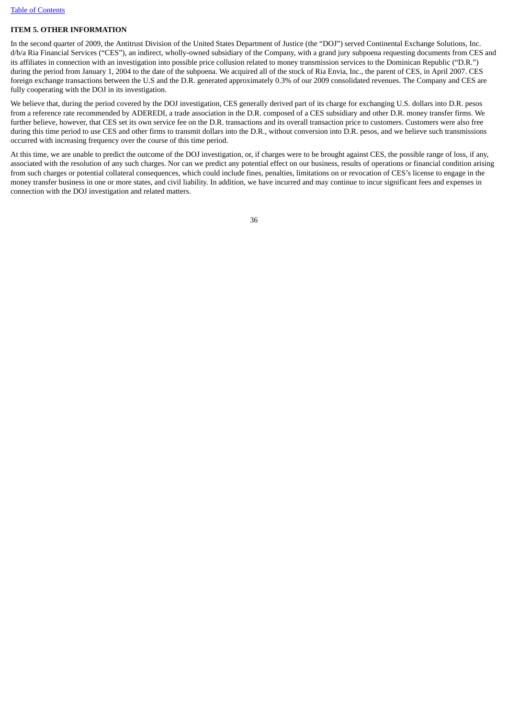## **ITEM 5. OTHER INFORMATION**

In the second quarter of 2009, the Antitrust Division of the United States Department of Justice (the "DOJ") served Continental Exchange Solutions, Inc. d/b/a Ria Financial Services ("CES"), an indirect, wholly-owned subsidiary of the Company, with a grand jury subpoena requesting documents from CES and its affiliates in connection with an investigation into possible price collusion related to money transmission services to the Dominican Republic ("D.R.") during the period from January 1, 2004 to the date of the subpoena. We acquired all of the stock of Ria Envia, Inc., the parent of CES, in April 2007. CES foreign exchange transactions between the U.S and the D.R. generated approximately 0.3% of our 2009 consolidated revenues. The Company and CES are fully cooperating with the DOJ in its investigation.

We believe that, during the period covered by the DOJ investigation, CES generally derived part of its charge for exchanging U.S. dollars into D.R. pesos from a reference rate recommended by ADEREDI, a trade association in the D.R. composed of a CES subsidiary and other D.R. money transfer firms. We further believe, however, that CES set its own service fee on the D.R. transactions and its overall transaction price to customers. Customers were also free during this time period to use CES and other firms to transmit dollars into the D.R., without conversion into D.R. pesos, and we believe such transmissions occurred with increasing frequency over the course of this time period.

<span id="page-35-0"></span>At this time, we are unable to predict the outcome of the DOJ investigation, or, if charges were to be brought against CES, the possible range of loss, if any, associated with the resolution of any such charges. Nor can we predict any potential effect on our business, results of operations or financial condition arising from such charges or potential collateral consequences, which could include fines, penalties, limitations on or revocation of CES's license to engage in the money transfer business in one or more states, and civil liability. In addition, we have incurred and may continue to incur significant fees and expenses in connection with the DOJ investigation and related matters.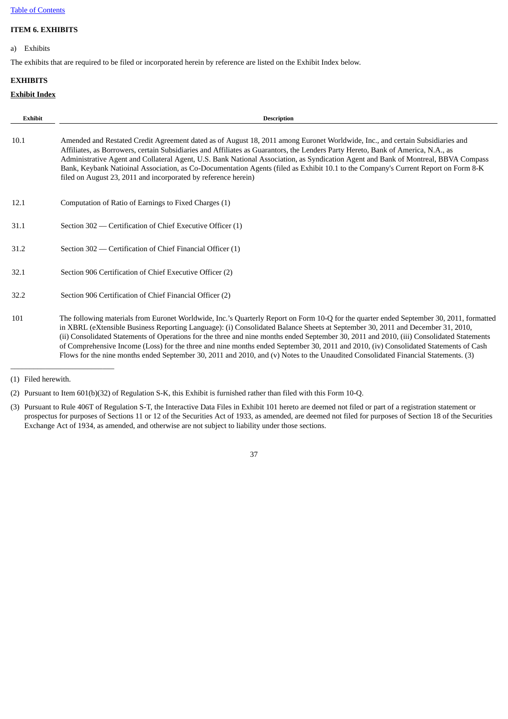#### Table of [Contents](#page-0-0)

## **ITEM 6. EXHIBITS**

## a) Exhibits

The exhibits that are required to be filed or incorporated herein by reference are listed on the Exhibit Index below.

#### **EXHIBITS**

#### **Exhibit Index**

| <b>Exhibit</b> | <b>Description</b>                                                                                                                                                                                                                                                                                                                                                                                                                                                                                                                                                                                                                                                                                    |
|----------------|-------------------------------------------------------------------------------------------------------------------------------------------------------------------------------------------------------------------------------------------------------------------------------------------------------------------------------------------------------------------------------------------------------------------------------------------------------------------------------------------------------------------------------------------------------------------------------------------------------------------------------------------------------------------------------------------------------|
| 10.1           | Amended and Restated Credit Agreement dated as of August 18, 2011 among Euronet Worldwide, Inc., and certain Subsidiaries and<br>Affiliates, as Borrowers, certain Subsidiaries and Affiliates as Guarantors, the Lenders Party Hereto, Bank of America, N.A., as<br>Administrative Agent and Collateral Agent, U.S. Bank National Association, as Syndication Agent and Bank of Montreal, BBVA Compass<br>Bank, Keybank Natioinal Association, as Co-Documentation Agents (filed as Exhibit 10.1 to the Company's Current Report on Form 8-K<br>filed on August 23, 2011 and incorporated by reference herein)                                                                                       |
| 12.1           | Computation of Ratio of Earnings to Fixed Charges (1)                                                                                                                                                                                                                                                                                                                                                                                                                                                                                                                                                                                                                                                 |
| 31.1           | Section 302 — Certification of Chief Executive Officer (1)                                                                                                                                                                                                                                                                                                                                                                                                                                                                                                                                                                                                                                            |
| 31.2           | Section 302 — Certification of Chief Financial Officer (1)                                                                                                                                                                                                                                                                                                                                                                                                                                                                                                                                                                                                                                            |
| 32.1           | Section 906 Certification of Chief Executive Officer (2)                                                                                                                                                                                                                                                                                                                                                                                                                                                                                                                                                                                                                                              |
| 32.2           | Section 906 Certification of Chief Financial Officer (2)                                                                                                                                                                                                                                                                                                                                                                                                                                                                                                                                                                                                                                              |
| 101            | The following materials from Euronet Worldwide, Inc.'s Quarterly Report on Form 10-Q for the quarter ended September 30, 2011, formatted<br>in XBRL (eXtensible Business Reporting Language): (i) Consolidated Balance Sheets at September 30, 2011 and December 31, 2010,<br>(ii) Consolidated Statements of Operations for the three and nine months ended September 30, 2011 and 2010, (iii) Consolidated Statements<br>of Comprehensive Income (Loss) for the three and nine months ended September 30, 2011 and 2010, (iv) Consolidated Statements of Cash<br>Flows for the nine months ended September 30, 2011 and 2010, and (v) Notes to the Unaudited Consolidated Financial Statements. (3) |

<sup>(1)</sup> Filed herewith.

\_\_\_\_\_\_\_\_\_\_\_\_\_\_\_\_\_\_\_\_\_\_\_\_\_\_\_

<sup>(2)</sup> Pursuant to Item 601(b)(32) of Regulation S-K, this Exhibit is furnished rather than filed with this Form 10-Q.

<sup>(3)</sup> Pursuant to Rule 406T of Regulation S-T, the Interactive Data Files in Exhibit 101 hereto are deemed not filed or part of a registration statement or prospectus for purposes of Sections 11 or 12 of the Securities Act of 1933, as amended, are deemed not filed for purposes of Section 18 of the Securities Exchange Act of 1934, as amended, and otherwise are not subject to liability under those sections.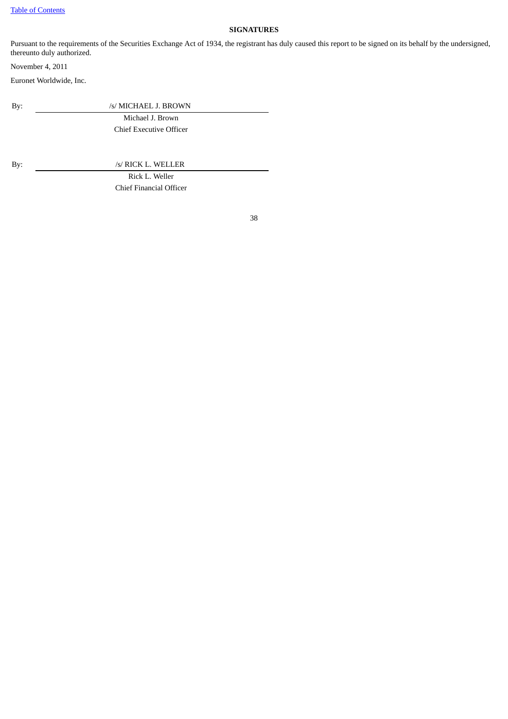## **SIGNATURES**

Pursuant to the requirements of the Securities Exchange Act of 1934, the registrant has duly caused this report to be signed on its behalf by the undersigned, thereunto duly authorized.

November 4, 2011

Euronet Worldwide, Inc.

By: /s/ MICHAEL J. BROWN Michael J. Brown Chief Executive Officer

By: /s/ RICK L. WELLER

Rick L. Weller Chief Financial Officer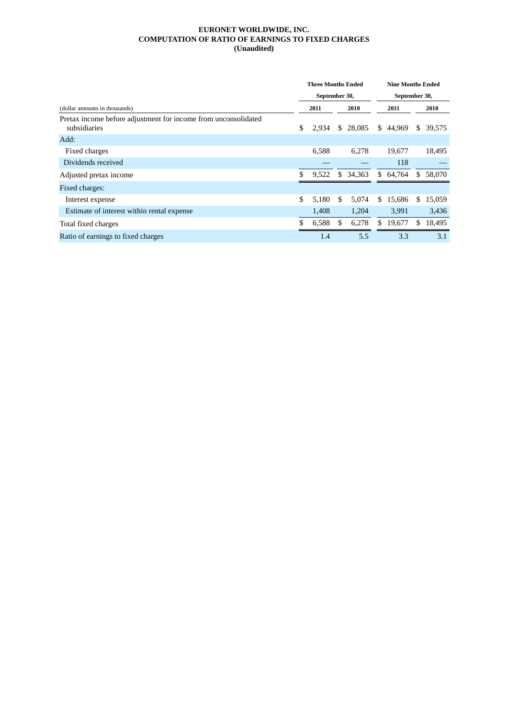#### **EURONET WORLDWIDE, INC. COMPUTATION OF RATIO OF EARNINGS TO FIXED CHARGES (Unaudited)**

|                                                                                |               | <b>Three Months Ended</b> |    |               | <b>Nine Months Ended</b> |        |    |        |  |
|--------------------------------------------------------------------------------|---------------|---------------------------|----|---------------|--------------------------|--------|----|--------|--|
|                                                                                | September 30, |                           |    | September 30, |                          |        |    |        |  |
| (dollar amounts in thousands)                                                  |               | 2011                      |    | 2010          |                          | 2011   |    | 2010   |  |
| Pretax income before adjustment for income from unconsolidated<br>subsidiaries | \$            | 2,934                     | S. | 28,085        | \$                       | 44,969 | S. | 39,575 |  |
| Add:                                                                           |               |                           |    |               |                          |        |    |        |  |
| Fixed charges                                                                  |               | 6,588                     |    | 6.278         |                          | 19.677 |    | 18,495 |  |
| Dividends received                                                             |               |                           |    |               |                          | 118    |    |        |  |
| Adjusted pretax income                                                         | \$.           | 9,522                     | \$ | 34,363        | S.                       | 64,764 | \$ | 58,070 |  |
| Fixed charges:                                                                 |               |                           |    |               |                          |        |    |        |  |
| Interest expense                                                               | \$            | 5,180                     | \$ | 5.074         | \$                       | 15,686 | \$ | 15,059 |  |
| Estimate of interest within rental expense                                     |               | 1,408                     |    | 1,204         |                          | 3,991  |    | 3,436  |  |
| Total fixed charges                                                            | \$            | 6,588                     | \$ | 6,278         | \$                       | 19,677 | \$ | 18,495 |  |
| Ratio of earnings to fixed charges                                             |               | 1.4                       |    | 5.5           |                          | 3.3    |    | 3.1    |  |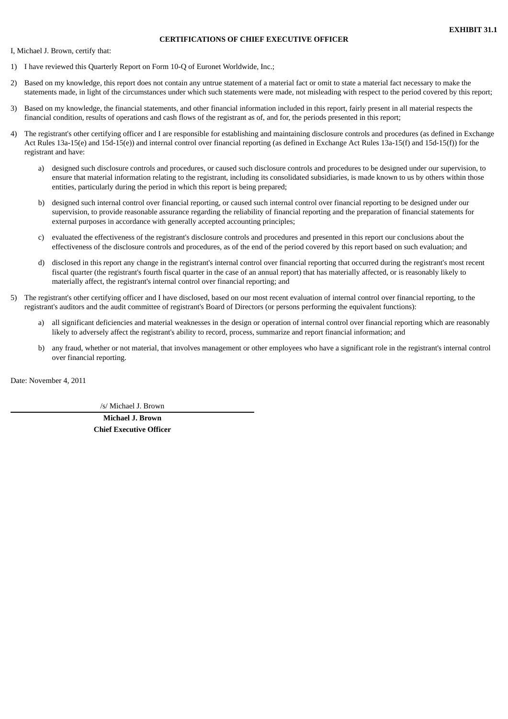#### **CERTIFICATIONS OF CHIEF EXECUTIVE OFFICER**

I, Michael J. Brown, certify that:

- 1) I have reviewed this Quarterly Report on Form 10-Q of Euronet Worldwide, Inc.;
- 2) Based on my knowledge, this report does not contain any untrue statement of a material fact or omit to state a material fact necessary to make the statements made, in light of the circumstances under which such statements were made, not misleading with respect to the period covered by this report;
- 3) Based on my knowledge, the financial statements, and other financial information included in this report, fairly present in all material respects the financial condition, results of operations and cash flows of the registrant as of, and for, the periods presented in this report;
- 4) The registrant's other certifying officer and I are responsible for establishing and maintaining disclosure controls and procedures (as defined in Exchange Act Rules 13a-15(e) and 15d-15(e)) and internal control over financial reporting (as defined in Exchange Act Rules 13a-15(f) and 15d-15(f)) for the registrant and have:
	- a) designed such disclosure controls and procedures, or caused such disclosure controls and procedures to be designed under our supervision, to ensure that material information relating to the registrant, including its consolidated subsidiaries, is made known to us by others within those entities, particularly during the period in which this report is being prepared;
	- b) designed such internal control over financial reporting, or caused such internal control over financial reporting to be designed under our supervision, to provide reasonable assurance regarding the reliability of financial reporting and the preparation of financial statements for external purposes in accordance with generally accepted accounting principles;
	- c) evaluated the effectiveness of the registrant's disclosure controls and procedures and presented in this report our conclusions about the effectiveness of the disclosure controls and procedures, as of the end of the period covered by this report based on such evaluation; and
	- d) disclosed in this report any change in the registrant's internal control over financial reporting that occurred during the registrant's most recent fiscal quarter (the registrant's fourth fiscal quarter in the case of an annual report) that has materially affected, or is reasonably likely to materially affect, the registrant's internal control over financial reporting; and
- 5) The registrant's other certifying officer and I have disclosed, based on our most recent evaluation of internal control over financial reporting, to the registrant's auditors and the audit committee of registrant's Board of Directors (or persons performing the equivalent functions):
	- a) all significant deficiencies and material weaknesses in the design or operation of internal control over financial reporting which are reasonably likely to adversely affect the registrant's ability to record, process, summarize and report financial information; and
	- b) any fraud, whether or not material, that involves management or other employees who have a significant role in the registrant's internal control over financial reporting.

Date: November 4, 2011

/s/ Michael J. Brown

**Michael J. Brown Chief Executive Officer**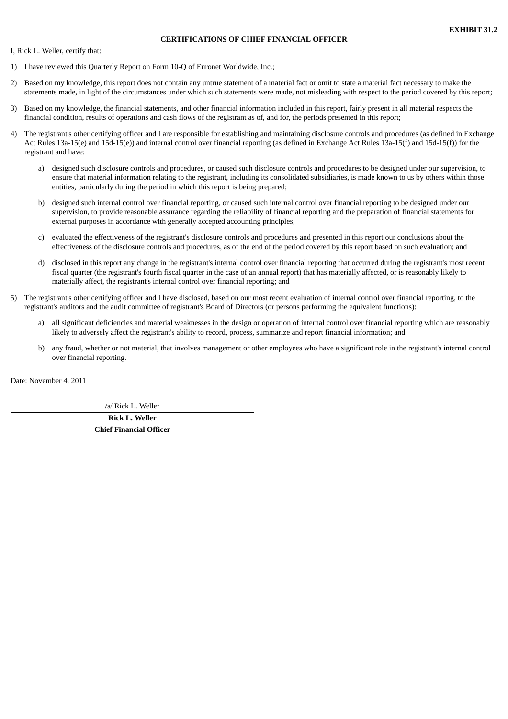#### **CERTIFICATIONS OF CHIEF FINANCIAL OFFICER**

I, Rick L. Weller, certify that:

- 1) I have reviewed this Quarterly Report on Form 10-Q of Euronet Worldwide, Inc.;
- 2) Based on my knowledge, this report does not contain any untrue statement of a material fact or omit to state a material fact necessary to make the statements made, in light of the circumstances under which such statements were made, not misleading with respect to the period covered by this report;
- 3) Based on my knowledge, the financial statements, and other financial information included in this report, fairly present in all material respects the financial condition, results of operations and cash flows of the registrant as of, and for, the periods presented in this report;
- 4) The registrant's other certifying officer and I are responsible for establishing and maintaining disclosure controls and procedures (as defined in Exchange Act Rules 13a-15(e) and 15d-15(e)) and internal control over financial reporting (as defined in Exchange Act Rules 13a-15(f) and 15d-15(f)) for the registrant and have:
	- a) designed such disclosure controls and procedures, or caused such disclosure controls and procedures to be designed under our supervision, to ensure that material information relating to the registrant, including its consolidated subsidiaries, is made known to us by others within those entities, particularly during the period in which this report is being prepared;
	- b) designed such internal control over financial reporting, or caused such internal control over financial reporting to be designed under our supervision, to provide reasonable assurance regarding the reliability of financial reporting and the preparation of financial statements for external purposes in accordance with generally accepted accounting principles;
	- c) evaluated the effectiveness of the registrant's disclosure controls and procedures and presented in this report our conclusions about the effectiveness of the disclosure controls and procedures, as of the end of the period covered by this report based on such evaluation; and
	- d) disclosed in this report any change in the registrant's internal control over financial reporting that occurred during the registrant's most recent fiscal quarter (the registrant's fourth fiscal quarter in the case of an annual report) that has materially affected, or is reasonably likely to materially affect, the registrant's internal control over financial reporting; and
- 5) The registrant's other certifying officer and I have disclosed, based on our most recent evaluation of internal control over financial reporting, to the registrant's auditors and the audit committee of registrant's Board of Directors (or persons performing the equivalent functions):
	- a) all significant deficiencies and material weaknesses in the design or operation of internal control over financial reporting which are reasonably likely to adversely affect the registrant's ability to record, process, summarize and report financial information; and
	- b) any fraud, whether or not material, that involves management or other employees who have a significant role in the registrant's internal control over financial reporting.

Date: November 4, 2011

/s/ Rick L. Weller

**Rick L. Weller Chief Financial Officer**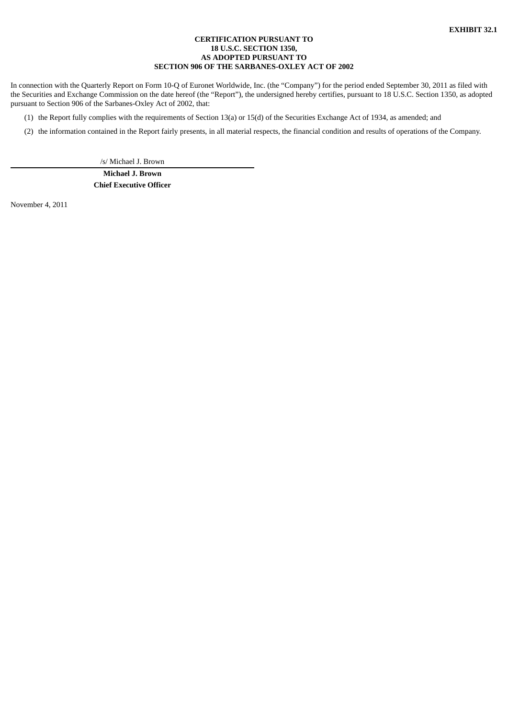#### **CERTIFICATION PURSUANT TO 18 U.S.C. SECTION 1350, AS ADOPTED PURSUANT TO SECTION 906 OF THE SARBANES-OXLEY ACT OF 2002**

In connection with the Quarterly Report on Form 10-Q of Euronet Worldwide, Inc. (the "Company") for the period ended September 30, 2011 as filed with the Securities and Exchange Commission on the date hereof (the "Report"), the undersigned hereby certifies, pursuant to 18 U.S.C. Section 1350, as adopted pursuant to Section 906 of the Sarbanes-Oxley Act of 2002, that:

- (1) the Report fully complies with the requirements of Section 13(a) or 15(d) of the Securities Exchange Act of 1934, as amended; and
- (2) the information contained in the Report fairly presents, in all material respects, the financial condition and results of operations of the Company.

/s/ Michael J. Brown

**Michael J. Brown Chief Executive Officer**

November 4, 2011